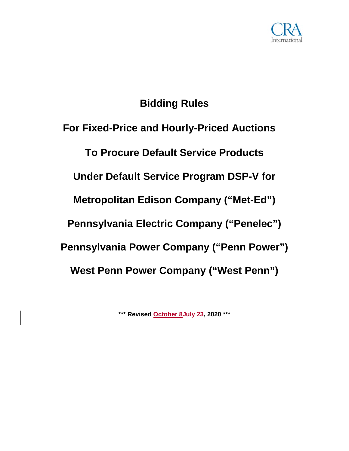

# **Bidding Rules**

**For Fixed-Price and Hourly-Priced Auctions To Procure Default Service Products Under Default Service Program DSP-V for Metropolitan Edison Company ("Met-Ed") Pennsylvania Electric Company ("Penelec") Pennsylvania Power Company ("Penn Power") West Penn Power Company ("West Penn")**

**\*\*\* Revised October 8July 23, 2020 \*\*\***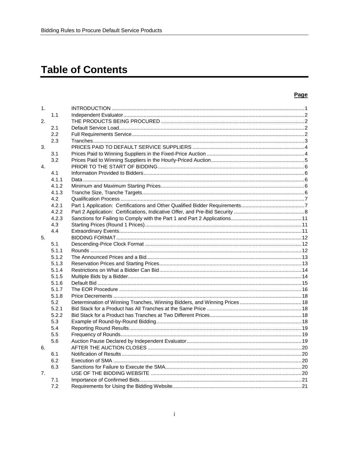# **Table of Contents**

#### Page

| 1. |       |  |
|----|-------|--|
|    | 1.1   |  |
| 2. |       |  |
|    | 2.1   |  |
|    | 2.2   |  |
|    | 2.3   |  |
| 3. |       |  |
|    | 3.1   |  |
|    | 3.2   |  |
| 4. |       |  |
|    | 4.1   |  |
|    | 4.1.1 |  |
|    |       |  |
|    | 4.1.2 |  |
|    | 4.1.3 |  |
|    | 4.2   |  |
|    | 4.2.1 |  |
|    | 4.2.2 |  |
|    | 4.2.3 |  |
|    | 4.3   |  |
|    | 4.4   |  |
| 5. |       |  |
|    | 5.1   |  |
|    | 5.1.1 |  |
|    | 5.1.2 |  |
|    | 5.1.3 |  |
|    | 5.1.4 |  |
|    | 5.1.5 |  |
|    | 5.1.6 |  |
|    | 5.1.7 |  |
|    | 5.1.8 |  |
|    | 5.2   |  |
|    | 5.2.1 |  |
|    | 5.2.2 |  |
|    | 5.3   |  |
|    | 5.4   |  |
|    | 5.5   |  |
|    | 5.6   |  |
| 6. |       |  |
|    | 6.1   |  |
|    | 6.2   |  |
|    | 6.3   |  |
| 7. |       |  |
|    | 7.1   |  |
|    | 7.2   |  |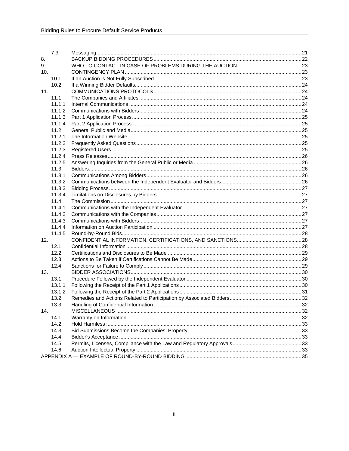|     | 7.3    |  |
|-----|--------|--|
| 8.  |        |  |
| 9.  |        |  |
| 10. |        |  |
|     | 10.1   |  |
|     | 10.2   |  |
| 11. |        |  |
|     | 11.1   |  |
|     | 11.1.1 |  |
|     | 11.1.2 |  |
|     | 11.1.3 |  |
|     | 11.1.4 |  |
|     | 11.2   |  |
|     | 11.2.1 |  |
|     | 11.2.2 |  |
|     | 11.2.3 |  |
|     | 11.2.4 |  |
|     | 11.2.5 |  |
|     | 11.3   |  |
|     | 11.3.1 |  |
|     | 11.3.2 |  |
|     | 11.3.3 |  |
|     | 11.3.4 |  |
|     | 11.4   |  |
|     | 11.4.1 |  |
|     | 11.4.2 |  |
|     | 11.4.3 |  |
|     | 11.4.4 |  |
|     | 11.4.5 |  |
| 12. |        |  |
|     | 12.1   |  |
|     | 12.2   |  |
|     | 12.3   |  |
|     | 12.4   |  |
| 13. |        |  |
|     | 13.1   |  |
|     | 13.1.1 |  |
|     | 13.1.2 |  |
|     | 13.2   |  |
|     | 13.3   |  |
| 14. |        |  |
|     | 14.1   |  |
|     | 14.2   |  |
|     | 14.3   |  |
|     | 14.4   |  |
|     | 14.5   |  |
|     | 14.6   |  |
|     |        |  |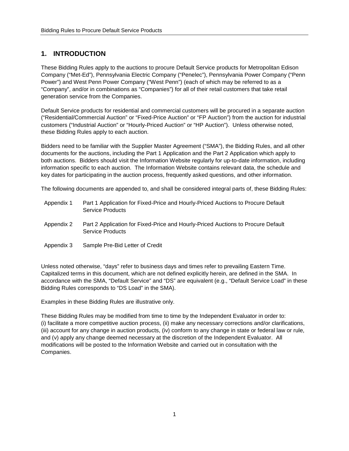# <span id="page-3-0"></span>**1. INTRODUCTION**

These Bidding Rules apply to the auctions to procure Default Service products for Metropolitan Edison Company ("Met-Ed"), Pennsylvania Electric Company ("Penelec"), Pennsylvania Power Company ("Penn Power") and West Penn Power Company ("West Penn") (each of which may be referred to as a "Company", and/or in combinations as "Companies") for all of their retail customers that take retail generation service from the Companies.

Default Service products for residential and commercial customers will be procured in a separate auction ("Residential/Commercial Auction" or "Fixed-Price Auction" or "FP Auction") from the auction for industrial customers ("Industrial Auction" or "Hourly-Priced Auction" or "HP Auction"). Unless otherwise noted, these Bidding Rules apply to each auction.

Bidders need to be familiar with the Supplier Master Agreement ("SMA"), the Bidding Rules, and all other documents for the auctions, including the Part 1 Application and the Part 2 Application which apply to both auctions. Bidders should visit the Information Website regularly for up-to-date information, including information specific to each auction. The Information Website contains relevant data, the schedule and key dates for participating in the auction process, frequently asked questions, and other information.

The following documents are appended to, and shall be considered integral parts of, these Bidding Rules:

- Appendix 1 Part 1 Application for Fixed-Price and Hourly-Priced Auctions to Procure Default Service Products
- Appendix 2 Part 2 Application for Fixed-Price and Hourly-Priced Auctions to Procure Default Service Products
- Appendix 3 Sample Pre-Bid Letter of Credit

Unless noted otherwise, "days" refer to business days and times refer to prevailing Eastern Time. Capitalized terms in this document, which are not defined explicitly herein, are defined in the SMA. In accordance with the SMA, "Default Service" and "DS" are equivalent (e.g., "Default Service Load" in these Bidding Rules corresponds to "DS Load" in the SMA).

Examples in these Bidding Rules are illustrative only.

These Bidding Rules may be modified from time to time by the Independent Evaluator in order to: (i) facilitate a more competitive auction process, (ii) make any necessary corrections and/or clarifications, (iii) account for any change in auction products, (iv) conform to any change in state or federal law or rule, and (v) apply any change deemed necessary at the discretion of the Independent Evaluator. All modifications will be posted to the Information Website and carried out in consultation with the Companies.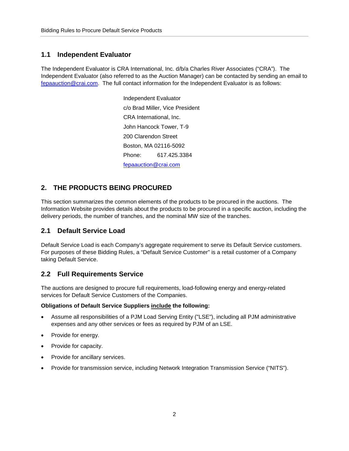# <span id="page-4-0"></span>**1.1 Independent Evaluator**

The Independent Evaluator is CRA International, Inc. d/b/a Charles River Associates ("CRA"). The Independent Evaluator (also referred to as the Auction Manager) can be contacted by sending an email to [fepaauction@crai.com.](mailto:fepaauction@crai.com) The full contact information for the Independent Evaluator is as follows:

> Independent Evaluator c/o Brad Miller, Vice President CRA International, Inc. John Hancock Tower, T-9 200 Clarendon Street Boston, MA 02116-5092 Phone: 617.425.3384 [fepaauction@crai.com](mailto:fepaauction@crai.com)

# <span id="page-4-1"></span>**2. THE PRODUCTS BEING PROCURED**

This section summarizes the common elements of the products to be procured in the auctions. The Information Website provides details about the products to be procured in a specific auction, including the delivery periods, the number of tranches, and the nominal MW size of the tranches.

## <span id="page-4-2"></span>**2.1 Default Service Load**

Default Service Load is each Company's aggregate requirement to serve its Default Service customers. For purposes of these Bidding Rules, a "Default Service Customer" is a retail customer of a Company taking Default Service.

## <span id="page-4-3"></span>**2.2 Full Requirements Service**

The auctions are designed to procure full requirements, load-following energy and energy-related services for Default Service Customers of the Companies.

#### **Obligations of Default Service Suppliers include the following:**

- Assume all responsibilities of a PJM Load Serving Entity ("LSE"), including all PJM administrative expenses and any other services or fees as required by PJM of an LSE.
- Provide for energy.
- Provide for capacity.
- Provide for ancillary services.
- Provide for transmission service, including Network Integration Transmission Service ("NITS").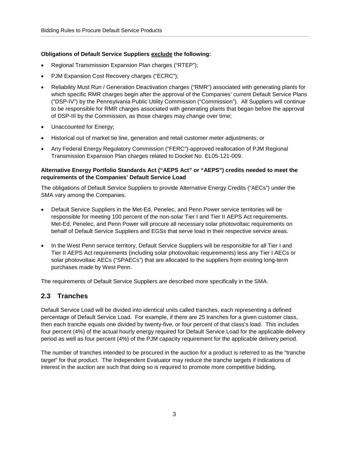#### **Obligations of Default Service Suppliers exclude the following:**

- Regional Transmission Expansion Plan charges ("RTEP");
- PJM Expansion Cost Recovery charges ("ECRC");
- Reliability Must Run / Generation Deactivation charges ("RMR") associated with generating plants for which specific RMR charges begin after the approval of the Companies' current Default Service Plans ("DSP-IV") by the Pennsylvania Public Utility Commission ("Commission"). All Suppliers will continue to be responsible for RMR charges associated with generating plants that began before the approval of DSP-III by the Commission, as those charges may change over time;
- Unaccounted for Energy;
- Historical out of market tie line, generation and retail customer meter adjustments; or
- Any Federal Energy Regulatory Commission ("FERC")-approved reallocation of PJM Regional Transmission Expansion Plan charges related to Docket No. EL05-121-009.

#### **Alternative Energy Portfolio Standards Act ("AEPS Act" or "AEPS") credits needed to meet the requirements of the Companies' Default Service Load**

The obligations of Default Service Suppliers to provide Alternative Energy Credits ("AECs") under the SMA vary among the Companies.

- Default Service Suppliers in the Met-Ed, Penelec, and Penn Power service territories will be responsible for meeting 100 percent of the non-solar Tier I and Tier II AEPS Act requirements. Met-Ed, Penelec, and Penn Power will procure all necessary solar photovoltaic requirements on behalf of Default Service Suppliers and EGSs that serve load in their respective service areas.
- In the West Penn service territory, Default Service Suppliers will be responsible for all Tier I and Tier II AEPS Act requirements (including solar photovoltaic requirements) less any Tier I AECs or solar photovoltaic AECs ("SPAECs") that are allocated to the suppliers from existing long-term purchases made by West Penn.

The requirements of Default Service Suppliers are described more specifically in the SMA.

#### <span id="page-5-0"></span>**2.3 Tranches**

Default Service Load will be divided into identical units called tranches, each representing a defined percentage of Default Service Load. For example, if there are 25 tranches for a given customer class, then each tranche equals one divided by twenty-five, or four percent of that class's load. This includes four percent (4%) of the actual hourly energy required for Default Service Load for the applicable delivery period as well as four percent (4%) of the PJM capacity requirement for the applicable delivery period.

The number of tranches intended to be procured in the auction for a product is referred to as the "tranche target" for that product. The Independent Evaluator may reduce the tranche targets if indications of interest in the auction are such that doing so is required to promote more competitive bidding.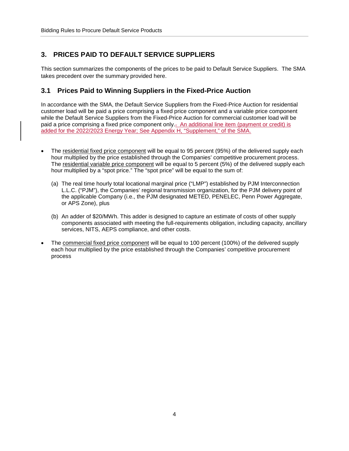# <span id="page-6-0"></span>**3. PRICES PAID TO DEFAULT SERVICE SUPPLIERS**

This section summarizes the components of the prices to be paid to Default Service Suppliers. The SMA takes precedent over the summary provided here.

# <span id="page-6-1"></span>**3.1 Prices Paid to Winning Suppliers in the Fixed-Price Auction**

In accordance with the SMA, the Default Service Suppliers from the Fixed-Price Auction for residential customer load will be paid a price comprising a fixed price component and a variable price component while the Default Service Suppliers from the Fixed-Price Auction for commercial customer load will be paid a price comprising a fixed price component only.. An additional line item (payment or credit) is added for the 2022/2023 Energy Year; See Appendix H, "Supplement," of the SMA.

- The residential fixed price component will be equal to 95 percent (95%) of the delivered supply each hour multiplied by the price established through the Companies' competitive procurement process. The residential variable price component will be equal to 5 percent (5%) of the delivered supply each hour multiplied by a "spot price." The "spot price" will be equal to the sum of:
	- (a) The real time hourly total locational marginal price ("LMP") established by PJM Interconnection L.L.C. ("PJM"), the Companies' regional transmission organization, for the PJM delivery point of the applicable Company (i.e., the PJM designated METED, PENELEC, Penn Power Aggregate, or APS Zone), plus
	- (b) An adder of \$20/MWh. This adder is designed to capture an estimate of costs of other supply components associated with meeting the full-requirements obligation, including capacity, ancillary services, NITS, AEPS compliance, and other costs.
- The commercial fixed price component will be equal to 100 percent (100%) of the delivered supply each hour multiplied by the price established through the Companies' competitive procurement process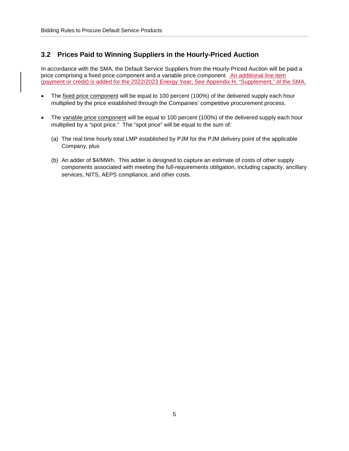### <span id="page-7-0"></span>**3.2 Prices Paid to Winning Suppliers in the Hourly-Priced Auction**

In accordance with the SMA, the Default Service Suppliers from the Hourly-Priced Auction will be paid a price comprising a fixed price component and a variable price component. An additional line item (payment or credit) is added for the 2022/2023 Energy Year; See Appendix H, "Supplement," of the SMA.

- The fixed price component will be equal to 100 percent (100%) of the delivered supply each hour multiplied by the price established through the Companies' competitive procurement process.
- The variable price component will be equal to 100 percent (100%) of the delivered supply each hour multiplied by a "spot price." The "spot price" will be equal to the sum of:
	- (a) The real time hourly total LMP established by PJM for the PJM delivery point of the applicable Company, plus
	- (b) An adder of \$4/MWh. This adder is designed to capture an estimate of costs of other supply components associated with meeting the full-requirements obligation, including capacity, ancillary services, NITS, AEPS compliance, and other costs.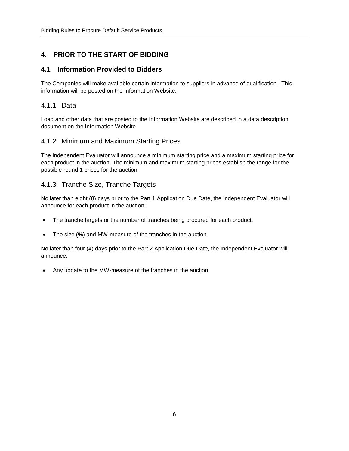# <span id="page-8-0"></span>**4. PRIOR TO THE START OF BIDDING**

## <span id="page-8-1"></span>**4.1 Information Provided to Bidders**

The Companies will make available certain information to suppliers in advance of qualification. This information will be posted on the Information Website.

## <span id="page-8-2"></span>4.1.1 Data

Load and other data that are posted to the Information Website are described in a data description document on the Information Website.

## <span id="page-8-3"></span>4.1.2 Minimum and Maximum Starting Prices

The Independent Evaluator will announce a minimum starting price and a maximum starting price for each product in the auction. The minimum and maximum starting prices establish the range for the possible round 1 prices for the auction.

# <span id="page-8-4"></span>4.1.3 Tranche Size, Tranche Targets

No later than eight (8) days prior to the Part 1 Application Due Date, the Independent Evaluator will announce for each product in the auction:

- The tranche targets or the number of tranches being procured for each product.
- The size (%) and MW-measure of the tranches in the auction.

No later than four (4) days prior to the Part 2 Application Due Date, the Independent Evaluator will announce:

• Any update to the MW-measure of the tranches in the auction.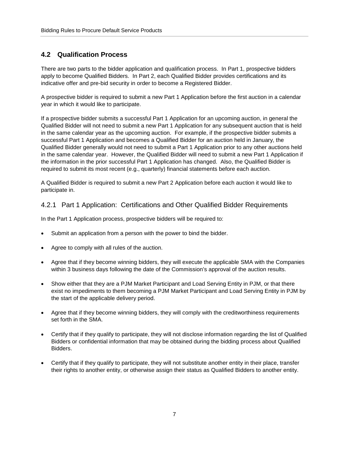# <span id="page-9-0"></span>**4.2 Qualification Process**

There are two parts to the bidder application and qualification process. In Part 1, prospective bidders apply to become Qualified Bidders. In Part 2, each Qualified Bidder provides certifications and its indicative offer and pre-bid security in order to become a Registered Bidder.

A prospective bidder is required to submit a new Part 1 Application before the first auction in a calendar year in which it would like to participate.

If a prospective bidder submits a successful Part 1 Application for an upcoming auction, in general the Qualified Bidder will not need to submit a new Part 1 Application for any subsequent auction that is held in the same calendar year as the upcoming auction. For example, if the prospective bidder submits a successful Part 1 Application and becomes a Qualified Bidder for an auction held in January, the Qualified Bidder generally would not need to submit a Part 1 Application prior to any other auctions held in the same calendar year. However, the Qualified Bidder will need to submit a new Part 1 Application if the information in the prior successful Part 1 Application has changed. Also, the Qualified Bidder is required to submit its most recent (e.g., quarterly) financial statements before each auction.

A Qualified Bidder is required to submit a new Part 2 Application before each auction it would like to participate in.

#### <span id="page-9-1"></span>4.2.1 Part 1 Application: Certifications and Other Qualified Bidder Requirements

In the Part 1 Application process, prospective bidders will be required to:

- Submit an application from a person with the power to bind the bidder.
- Agree to comply with all rules of the auction.
- Agree that if they become winning bidders, they will execute the applicable SMA with the Companies within 3 business days following the date of the Commission's approval of the auction results.
- Show either that they are a PJM Market Participant and Load Serving Entity in PJM, or that there exist no impediments to them becoming a PJM Market Participant and Load Serving Entity in PJM by the start of the applicable delivery period.
- Agree that if they become winning bidders, they will comply with the creditworthiness requirements set forth in the SMA.
- Certify that if they qualify to participate, they will not disclose information regarding the list of Qualified Bidders or confidential information that may be obtained during the bidding process about Qualified Bidders.
- Certify that if they qualify to participate, they will not substitute another entity in their place, transfer their rights to another entity, or otherwise assign their status as Qualified Bidders to another entity.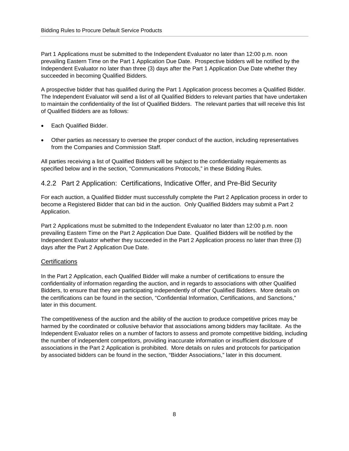Part 1 Applications must be submitted to the Independent Evaluator no later than 12:00 p.m. noon prevailing Eastern Time on the Part 1 Application Due Date. Prospective bidders will be notified by the Independent Evaluator no later than three (3) days after the Part 1 Application Due Date whether they succeeded in becoming Qualified Bidders.

A prospective bidder that has qualified during the Part 1 Application process becomes a Qualified Bidder. The Independent Evaluator will send a list of all Qualified Bidders to relevant parties that have undertaken to maintain the confidentiality of the list of Qualified Bidders. The relevant parties that will receive this list of Qualified Bidders are as follows:

- Each Qualified Bidder.
- Other parties as necessary to oversee the proper conduct of the auction, including representatives from the Companies and Commission Staff.

All parties receiving a list of Qualified Bidders will be subject to the confidentiality requirements as specified below and in the section, "Communications Protocols," in these Bidding Rules.

#### <span id="page-10-0"></span>4.2.2 Part 2 Application: Certifications, Indicative Offer, and Pre-Bid Security

For each auction, a Qualified Bidder must successfully complete the Part 2 Application process in order to become a Registered Bidder that can bid in the auction. Only Qualified Bidders may submit a Part 2 Application.

Part 2 Applications must be submitted to the Independent Evaluator no later than 12:00 p.m. noon prevailing Eastern Time on the Part 2 Application Due Date. Qualified Bidders will be notified by the Independent Evaluator whether they succeeded in the Part 2 Application process no later than three (3) days after the Part 2 Application Due Date.

#### **Certifications**

In the Part 2 Application, each Qualified Bidder will make a number of certifications to ensure the confidentiality of information regarding the auction, and in regards to associations with other Qualified Bidders, to ensure that they are participating independently of other Qualified Bidders. More details on the certifications can be found in the section, "Confidential Information, Certifications, and Sanctions," later in this document.

The competitiveness of the auction and the ability of the auction to produce competitive prices may be harmed by the coordinated or collusive behavior that associations among bidders may facilitate. As the Independent Evaluator relies on a number of factors to assess and promote competitive bidding, including the number of independent competitors, providing inaccurate information or insufficient disclosure of associations in the Part 2 Application is prohibited. More details on rules and protocols for participation by associated bidders can be found in the section, "Bidder Associations," later in this document.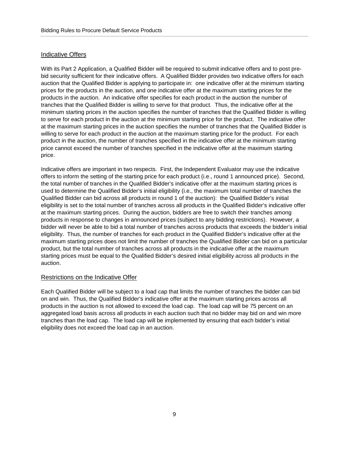#### Indicative Offers

With its Part 2 Application, a Qualified Bidder will be required to submit indicative offers and to post prebid security sufficient for their indicative offers. A Qualified Bidder provides two indicative offers for each auction that the Qualified Bidder is applying to participate in: one indicative offer at the minimum starting prices for the products in the auction, and one indicative offer at the maximum starting prices for the products in the auction. An indicative offer specifies for each product in the auction the number of tranches that the Qualified Bidder is willing to serve for that product. Thus, the indicative offer at the minimum starting prices in the auction specifies the number of tranches that the Qualified Bidder is willing to serve for each product in the auction at the minimum starting price for the product. The indicative offer at the maximum starting prices in the auction specifies the number of tranches that the Qualified Bidder is willing to serve for each product in the auction at the maximum starting price for the product. For each product in the auction, the number of tranches specified in the indicative offer at the minimum starting price cannot exceed the number of tranches specified in the indicative offer at the maximum starting price.

Indicative offers are important in two respects. First, the Independent Evaluator may use the indicative offers to inform the setting of the starting price for each product (i.e., round 1 announced price). Second, the total number of tranches in the Qualified Bidder's indicative offer at the maximum starting prices is used to determine the Qualified Bidder's initial eligibility (i.e., the maximum total number of tranches the Qualified Bidder can bid across all products in round 1 of the auction): the Qualified Bidder's initial eligibility is set to the total number of tranches across all products in the Qualified Bidder's indicative offer at the maximum starting prices. During the auction, bidders are free to switch their tranches among products in response to changes in announced prices (subject to any bidding restrictions). However, a bidder will never be able to bid a total number of tranches across products that exceeds the bidder's initial eligibility. Thus, the number of tranches for each product in the Qualified Bidder's indicative offer at the maximum starting prices does not limit the number of tranches the Qualified Bidder can bid on a particular product, but the total number of tranches across all products in the indicative offer at the maximum starting prices must be equal to the Qualified Bidder's desired initial eligibility across all products in the auction.

#### Restrictions on the Indicative Offer

Each Qualified Bidder will be subject to a load cap that limits the number of tranches the bidder can bid on and win. Thus, the Qualified Bidder's indicative offer at the maximum starting prices across all products in the auction is not allowed to exceed the load cap. The load cap will be 75 percent on an aggregated load basis across all products in each auction such that no bidder may bid on and win more tranches than the load cap. The load cap will be implemented by ensuring that each bidder's initial eligibility does not exceed the load cap in an auction.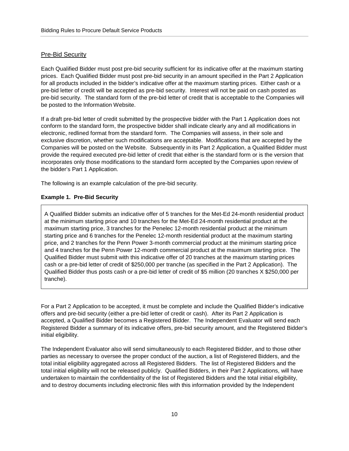#### Pre-Bid Security

Each Qualified Bidder must post pre-bid security sufficient for its indicative offer at the maximum starting prices. Each Qualified Bidder must post pre-bid security in an amount specified in the Part 2 Application for all products included in the bidder's indicative offer at the maximum starting prices. Either cash or a pre-bid letter of credit will be accepted as pre-bid security. Interest will not be paid on cash posted as pre-bid security. The standard form of the pre-bid letter of credit that is acceptable to the Companies will be posted to the Information Website.

If a draft pre-bid letter of credit submitted by the prospective bidder with the Part 1 Application does not conform to the standard form, the prospective bidder shall indicate clearly any and all modifications in electronic, redlined format from the standard form. The Companies will assess, in their sole and exclusive discretion, whether such modifications are acceptable. Modifications that are accepted by the Companies will be posted on the Website. Subsequently in its Part 2 Application, a Qualified Bidder must provide the required executed pre-bid letter of credit that either is the standard form or is the version that incorporates only those modifications to the standard form accepted by the Companies upon review of the bidder's Part 1 Application.

The following is an example calculation of the pre-bid security.

#### **Example 1. Pre-Bid Security**

A Qualified Bidder submits an indicative offer of 5 tranches for the Met-Ed 24-month residential product at the minimum starting price and 10 tranches for the Met-Ed 24-month residential product at the maximum starting price, 3 tranches for the Penelec 12-month residential product at the minimum starting price and 6 tranches for the Penelec 12-month residential product at the maximum starting price, and 2 tranches for the Penn Power 3-month commercial product at the minimum starting price and 4 tranches for the Penn Power 12-month commercial product at the maximum starting price. The Qualified Bidder must submit with this indicative offer of 20 tranches at the maximum starting prices cash or a pre-bid letter of credit of \$250,000 per tranche (as specified in the Part 2 Application). The Qualified Bidder thus posts cash or a pre-bid letter of credit of \$5 million (20 tranches X \$250,000 per tranche).

For a Part 2 Application to be accepted, it must be complete and include the Qualified Bidder's indicative offers and pre-bid security (either a pre-bid letter of credit or cash). After its Part 2 Application is accepted, a Qualified Bidder becomes a Registered Bidder. The Independent Evaluator will send each Registered Bidder a summary of its indicative offers, pre-bid security amount, and the Registered Bidder's initial eligibility.

The Independent Evaluator also will send simultaneously to each Registered Bidder, and to those other parties as necessary to oversee the proper conduct of the auction, a list of Registered Bidders, and the total initial eligibility aggregated across all Registered Bidders. The list of Registered Bidders and the total initial eligibility will not be released publicly. Qualified Bidders, in their Part 2 Applications, will have undertaken to maintain the confidentiality of the list of Registered Bidders and the total initial eligibility, and to destroy documents including electronic files with this information provided by the Independent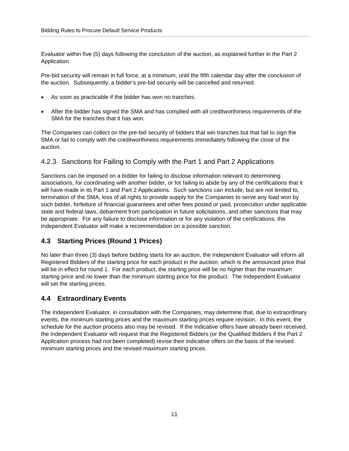Evaluator within five (5) days following the conclusion of the auction, as explained further in the Part 2 Application.

Pre-bid security will remain in full force, at a minimum, until the fifth calendar day after the conclusion of the auction. Subsequently, a bidder's pre-bid security will be cancelled and returned:

- As soon as practicable if the bidder has won no tranches.
- After the bidder has signed the SMA and has complied with all creditworthiness requirements of the SMA for the tranches that it has won.

The Companies can collect on the pre-bid security of bidders that win tranches but that fail to sign the SMA or fail to comply with the creditworthiness requirements immediately following the close of the auction.

## <span id="page-13-0"></span>4.2.3 Sanctions for Failing to Comply with the Part 1 and Part 2 Applications

Sanctions can be imposed on a bidder for failing to disclose information relevant to determining associations, for coordinating with another bidder, or for failing to abide by any of the certifications that it will have made in its Part 1 and Part 2 Applications. Such sanctions can include, but are not limited to, termination of the SMA, loss of all rights to provide supply for the Companies to serve any load won by such bidder, forfeiture of financial guarantees and other fees posted or paid, prosecution under applicable state and federal laws, debarment from participation in future solicitations, and other sanctions that may be appropriate. For any failure to disclose information or for any violation of the certifications, the Independent Evaluator will make a recommendation on a possible sanction.

## <span id="page-13-1"></span>**4.3 Starting Prices (Round 1 Prices)**

No later than three (3) days before bidding starts for an auction, the Independent Evaluator will inform all Registered Bidders of the starting price for each product in the auction, which is the announced price that will be in effect for round 1. For each product, the starting price will be no higher than the maximum starting price and no lower than the minimum starting price for the product. The Independent Evaluator will set the starting prices.

## <span id="page-13-2"></span>**4.4 Extraordinary Events**

The Independent Evaluator, in consultation with the Companies, may determine that, due to extraordinary events, the minimum starting prices and the maximum starting prices require revision. In this event, the schedule for the auction process also may be revised. If the indicative offers have already been received, the Independent Evaluator will request that the Registered Bidders (or the Qualified Bidders if the Part 2 Application process had not been completed) revise their indicative offers on the basis of the revised minimum starting prices and the revised maximum starting prices.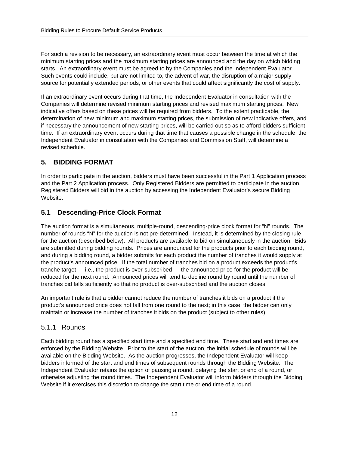For such a revision to be necessary, an extraordinary event must occur between the time at which the minimum starting prices and the maximum starting prices are announced and the day on which bidding starts. An extraordinary event must be agreed to by the Companies and the Independent Evaluator. Such events could include, but are not limited to, the advent of war, the disruption of a major supply source for potentially extended periods, or other events that could affect significantly the cost of supply.

If an extraordinary event occurs during that time, the Independent Evaluator in consultation with the Companies will determine revised minimum starting prices and revised maximum starting prices. New indicative offers based on these prices will be required from bidders. To the extent practicable, the determination of new minimum and maximum starting prices, the submission of new indicative offers, and if necessary the announcement of new starting prices, will be carried out so as to afford bidders sufficient time. If an extraordinary event occurs during that time that causes a possible change in the schedule, the Independent Evaluator in consultation with the Companies and Commission Staff, will determine a revised schedule.

#### <span id="page-14-0"></span>**5. BIDDING FORMAT**

In order to participate in the auction, bidders must have been successful in the Part 1 Application process and the Part 2 Application process. Only Registered Bidders are permitted to participate in the auction. Registered Bidders will bid in the auction by accessing the Independent Evaluator's secure Bidding Website.

#### <span id="page-14-1"></span>**5.1 Descending-Price Clock Format**

The auction format is a simultaneous, multiple-round, descending-price clock format for "N" rounds. The number of rounds "N" for the auction is not pre-determined. Instead, it is determined by the closing rule for the auction (described below). All products are available to bid on simultaneously in the auction. Bids are submitted during bidding rounds. Prices are announced for the products prior to each bidding round, and during a bidding round, a bidder submits for each product the number of tranches it would supply at the product's announced price. If the total number of tranches bid on a product exceeds the product's tranche target — i.e., the product is over-subscribed — the announced price for the product will be reduced for the next round. Announced prices will tend to decline round by round until the number of tranches bid falls sufficiently so that no product is over-subscribed and the auction closes.

An important rule is that a bidder cannot reduce the number of tranches it bids on a product if the product's announced price does not fall from one round to the next; in this case, the bidder can only maintain or increase the number of tranches it bids on the product (subject to other rules).

#### <span id="page-14-2"></span>5.1.1 Rounds

Each bidding round has a specified start time and a specified end time. These start and end times are enforced by the Bidding Website. Prior to the start of the auction, the initial schedule of rounds will be available on the Bidding Website. As the auction progresses, the Independent Evaluator will keep bidders informed of the start and end times of subsequent rounds through the Bidding Website. The Independent Evaluator retains the option of pausing a round, delaying the start or end of a round, or otherwise adjusting the round times. The Independent Evaluator will inform bidders through the Bidding Website if it exercises this discretion to change the start time or end time of a round.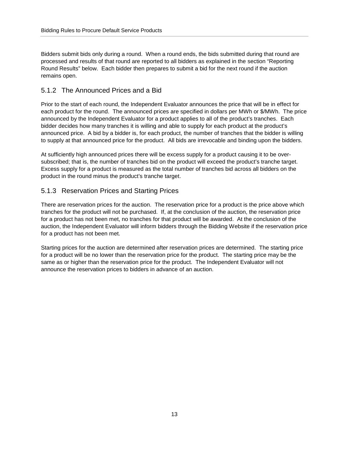Bidders submit bids only during a round. When a round ends, the bids submitted during that round are processed and results of that round are reported to all bidders as explained in the section "Reporting Round Results" below. Each bidder then prepares to submit a bid for the next round if the auction remains open.

## <span id="page-15-0"></span>5.1.2 The Announced Prices and a Bid

Prior to the start of each round, the Independent Evaluator announces the price that will be in effect for each product for the round. The announced prices are specified in dollars per MWh or \$/MWh. The price announced by the Independent Evaluator for a product applies to all of the product's tranches. Each bidder decides how many tranches it is willing and able to supply for each product at the product's announced price. A bid by a bidder is, for each product, the number of tranches that the bidder is willing to supply at that announced price for the product. All bids are irrevocable and binding upon the bidders.

At sufficiently high announced prices there will be excess supply for a product causing it to be oversubscribed; that is, the number of tranches bid on the product will exceed the product's tranche target. Excess supply for a product is measured as the total number of tranches bid across all bidders on the product in the round minus the product's tranche target.

## <span id="page-15-1"></span>5.1.3 Reservation Prices and Starting Prices

There are reservation prices for the auction. The reservation price for a product is the price above which tranches for the product will not be purchased. If, at the conclusion of the auction, the reservation price for a product has not been met, no tranches for that product will be awarded. At the conclusion of the auction, the Independent Evaluator will inform bidders through the Bidding Website if the reservation price for a product has not been met.

Starting prices for the auction are determined after reservation prices are determined. The starting price for a product will be no lower than the reservation price for the product. The starting price may be the same as or higher than the reservation price for the product. The Independent Evaluator will not announce the reservation prices to bidders in advance of an auction.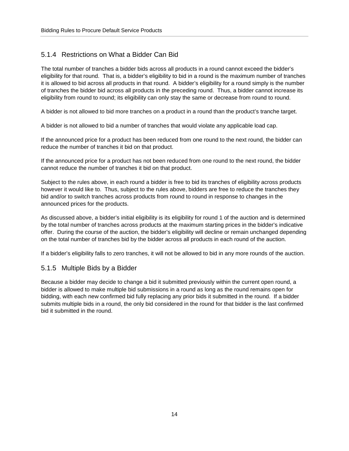# <span id="page-16-0"></span>5.1.4 Restrictions on What a Bidder Can Bid

The total number of tranches a bidder bids across all products in a round cannot exceed the bidder's eligibility for that round. That is, a bidder's eligibility to bid in a round is the maximum number of tranches it is allowed to bid across all products in that round. A bidder's eligibility for a round simply is the number of tranches the bidder bid across all products in the preceding round. Thus, a bidder cannot increase its eligibility from round to round; its eligibility can only stay the same or decrease from round to round.

A bidder is not allowed to bid more tranches on a product in a round than the product's tranche target.

A bidder is not allowed to bid a number of tranches that would violate any applicable load cap.

If the announced price for a product has been reduced from one round to the next round, the bidder can reduce the number of tranches it bid on that product.

If the announced price for a product has not been reduced from one round to the next round, the bidder cannot reduce the number of tranches it bid on that product.

Subject to the rules above, in each round a bidder is free to bid its tranches of eligibility across products however it would like to. Thus, subject to the rules above, bidders are free to reduce the tranches they bid and/or to switch tranches across products from round to round in response to changes in the announced prices for the products.

As discussed above, a bidder's initial eligibility is its eligibility for round 1 of the auction and is determined by the total number of tranches across products at the maximum starting prices in the bidder's indicative offer. During the course of the auction, the bidder's eligibility will decline or remain unchanged depending on the total number of tranches bid by the bidder across all products in each round of the auction.

If a bidder's eligibility falls to zero tranches, it will not be allowed to bid in any more rounds of the auction.

#### <span id="page-16-1"></span>5.1.5 Multiple Bids by a Bidder

Because a bidder may decide to change a bid it submitted previously within the current open round, a bidder is allowed to make multiple bid submissions in a round as long as the round remains open for bidding, with each new confirmed bid fully replacing any prior bids it submitted in the round. If a bidder submits multiple bids in a round, the only bid considered in the round for that bidder is the last confirmed bid it submitted in the round.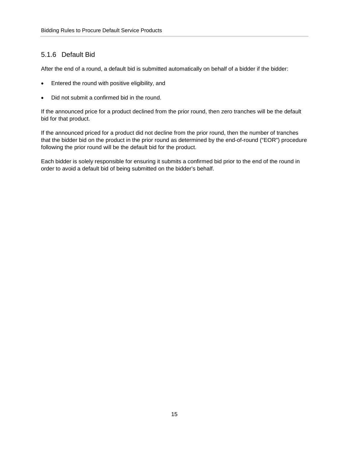# <span id="page-17-0"></span>5.1.6 Default Bid

After the end of a round, a default bid is submitted automatically on behalf of a bidder if the bidder:

- Entered the round with positive eligibility, and
- Did not submit a confirmed bid in the round.

If the announced price for a product declined from the prior round, then zero tranches will be the default bid for that product.

If the announced priced for a product did not decline from the prior round, then the number of tranches that the bidder bid on the product in the prior round as determined by the end-of-round ("EOR") procedure following the prior round will be the default bid for the product.

Each bidder is solely responsible for ensuring it submits a confirmed bid prior to the end of the round in order to avoid a default bid of being submitted on the bidder's behalf.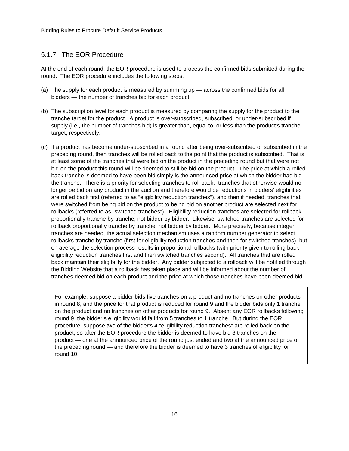#### <span id="page-18-0"></span>5.1.7 The EOR Procedure

At the end of each round, the EOR procedure is used to process the confirmed bids submitted during the round. The EOR procedure includes the following steps.

- (a) The supply for each product is measured by summing up across the confirmed bids for all bidders — the number of tranches bid for each product.
- (b) The subscription level for each product is measured by comparing the supply for the product to the tranche target for the product. A product is over-subscribed, subscribed, or under-subscribed if supply (i.e., the number of tranches bid) is greater than, equal to, or less than the product's tranche target, respectively.
- (c) If a product has become under-subscribed in a round after being over-subscribed or subscribed in the preceding round, then tranches will be rolled back to the point that the product is subscribed. That is, at least some of the tranches that were bid on the product in the preceding round but that were not bid on the product this round will be deemed to still be bid on the product. The price at which a rolledback tranche is deemed to have been bid simply is the announced price at which the bidder had bid the tranche. There is a priority for selecting tranches to roll back: tranches that otherwise would no longer be bid on any product in the auction and therefore would be reductions in bidders' eligibilities are rolled back first (referred to as "eligibility reduction tranches"), and then if needed, tranches that were switched from being bid on the product to being bid on another product are selected next for rollbacks (referred to as "switched tranches"). Eligibility reduction tranches are selected for rollback proportionally tranche by tranche, not bidder by bidder. Likewise, switched tranches are selected for rollback proportionally tranche by tranche, not bidder by bidder. More precisely, because integer tranches are needed, the actual selection mechanism uses a random number generator to select rollbacks tranche by tranche (first for eligibility reduction tranches and then for switched tranches), but on average the selection process results in proportional rollbacks (with priority given to rolling back eligibility reduction tranches first and then switched tranches second). All tranches that are rolled back maintain their eligibility for the bidder. Any bidder subjected to a rollback will be notified through the Bidding Website that a rollback has taken place and will be informed about the number of tranches deemed bid on each product and the price at which those tranches have been deemed bid.

For example, suppose a bidder bids five tranches on a product and no tranches on other products in round 8, and the price for that product is reduced for round 9 and the bidder bids only 1 tranche on the product and no tranches on other products for round 9. Absent any EOR rollbacks following round 9, the bidder's eligibility would fall from 5 tranches to 1 tranche. But during the EOR procedure, suppose two of the bidder's 4 "eligibility reduction tranches" are rolled back on the product, so after the EOR procedure the bidder is deemed to have bid 3 tranches on the product — one at the announced price of the round just ended and two at the announced price of the preceding round — and therefore the bidder is deemed to have 3 tranches of eligibility for round 10.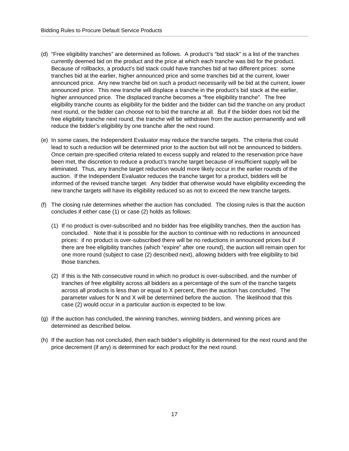- (d) "Free eligibility tranches" are determined as follows. A product's "bid stack" is a list of the tranches currently deemed bid on the product and the price at which each tranche was bid for the product. Because of rollbacks, a product's bid stack could have tranches bid at two different prices: some tranches bid at the earlier, higher announced price and some tranches bid at the current, lower announced price. Any new tranche bid on such a product necessarily will be bid at the current, lower announced price. This new tranche will displace a tranche in the product's bid stack at the earlier, higher announced price. The displaced tranche becomes a "free eligibility tranche". The free eligibility tranche counts as eligibility for the bidder and the bidder can bid the tranche on any product next round, or the bidder can choose not to bid the tranche at all. But if the bidder does not bid the free eligibility tranche next round, the tranche will be withdrawn from the auction permanently and will reduce the bidder's eligibility by one tranche after the next round.
- (e) In some cases, the Independent Evaluator may reduce the tranche targets. The criteria that could lead to such a reduction will be determined prior to the auction but will not be announced to bidders. Once certain pre-specified criteria related to excess supply and related to the reservation price have been met, the discretion to reduce a product's tranche target because of insufficient supply will be eliminated. Thus, any tranche target reduction would more likely occur in the earlier rounds of the auction. If the Independent Evaluator reduces the tranche target for a product, bidders will be informed of the revised tranche target. Any bidder that otherwise would have eligibility exceeding the new tranche targets will have its eligibility reduced so as not to exceed the new tranche targets.
- (f) The closing rule determines whether the auction has concluded. The closing rules is that the auction concludes if either case (1) or case (2) holds as follows:
	- (1) If no product is over-subscribed and no bidder has free eligibility tranches, then the auction has concluded. Note that it is possible for the auction to continue with no reductions in announced prices: if no product is over-subscribed there will be no reductions in announced prices but if there are free eligibility tranches (which "expire" after one round), the auction will remain open for one more round (subject to case (2) described next), allowing bidders with free eligibility to bid those tranches.
	- (2) If this is the Nth consecutive round in which no product is over-subscribed, and the number of tranches of free eligibility across all bidders as a percentage of the sum of the tranche targets across all products is less than or equal to X percent, then the auction has concluded. The parameter values for N and X will be determined before the auction. The likelihood that this case (2) would occur in a particular auction is expected to be low.
- (g) If the auction has concluded, the winning tranches, winning bidders, and winning prices are determined as described below.
- (h) If the auction has not concluded, then each bidder's eligibility is determined for the next round and the price decrement (if any) is determined for each product for the next round.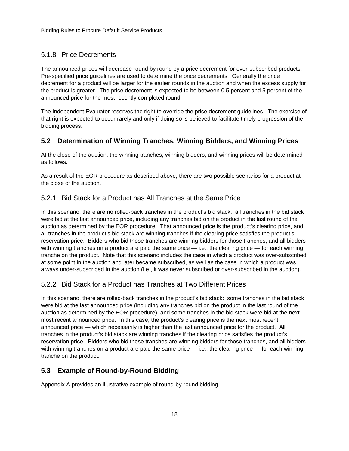# <span id="page-20-0"></span>5.1.8 Price Decrements

The announced prices will decrease round by round by a price decrement for over-subscribed products. Pre-specified price guidelines are used to determine the price decrements. Generally the price decrement for a product will be larger for the earlier rounds in the auction and when the excess supply for the product is greater. The price decrement is expected to be between 0.5 percent and 5 percent of the announced price for the most recently completed round.

The Independent Evaluator reserves the right to override the price decrement guidelines. The exercise of that right is expected to occur rarely and only if doing so is believed to facilitate timely progression of the bidding process.

# <span id="page-20-1"></span>**5.2 Determination of Winning Tranches, Winning Bidders, and Winning Prices**

At the close of the auction, the winning tranches, winning bidders, and winning prices will be determined as follows.

As a result of the EOR procedure as described above, there are two possible scenarios for a product at the close of the auction.

## <span id="page-20-2"></span>5.2.1 Bid Stack for a Product has All Tranches at the Same Price

In this scenario, there are no rolled-back tranches in the product's bid stack: all tranches in the bid stack were bid at the last announced price, including any tranches bid on the product in the last round of the auction as determined by the EOR procedure. That announced price is the product's clearing price, and all tranches in the product's bid stack are winning tranches if the clearing price satisfies the product's reservation price. Bidders who bid those tranches are winning bidders for those tranches, and all bidders with winning tranches on a product are paid the same price  $-$  i.e., the clearing price  $-$  for each winning tranche on the product. Note that this scenario includes the case in which a product was over-subscribed at some point in the auction and later became subscribed, as well as the case in which a product was always under-subscribed in the auction (i.e., it was never subscribed or over-subscribed in the auction).

# <span id="page-20-3"></span>5.2.2 Bid Stack for a Product has Tranches at Two Different Prices

In this scenario, there are rolled-back tranches in the product's bid stack: some tranches in the bid stack were bid at the last announced price (including any tranches bid on the product in the last round of the auction as determined by the EOR procedure), and some tranches in the bid stack were bid at the next most recent announced price. In this case, the product's clearing price is the next most recent announced price — which necessarily is higher than the last announced price for the product. All tranches in the product's bid stack are winning tranches if the clearing price satisfies the product's reservation price. Bidders who bid those tranches are winning bidders for those tranches, and all bidders with winning tranches on a product are paid the same price — i.e., the clearing price — for each winning tranche on the product.

# <span id="page-20-4"></span>**5.3 Example of Round-by-Round Bidding**

Appendix A provides an illustrative example of round-by-round bidding.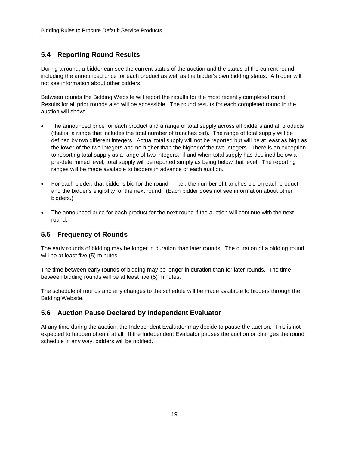### <span id="page-21-0"></span>**5.4 Reporting Round Results**

During a round, a bidder can see the current status of the auction and the status of the current round including the announced price for each product as well as the bidder's own bidding status. A bidder will not see information about other bidders.

Between rounds the Bidding Website will report the results for the most recently completed round. Results for all prior rounds also will be accessible. The round results for each completed round in the auction will show:

- The announced price for each product and a range of total supply across all bidders and all products (that is, a range that includes the total number of tranches bid). The range of total supply will be defined by two different integers. Actual total supply will not be reported but will be at least as high as the lower of the two integers and no higher than the higher of the two integers. There is an exception to reporting total supply as a range of two integers: if and when total supply has declined below a pre-determined level, total supply will be reported simply as being below that level. The reporting ranges will be made available to bidders in advance of each auction.
- For each bidder, that bidder's bid for the round  $-$  i.e., the number of tranches bid on each product  $$ and the bidder's eligibility for the next round. (Each bidder does not see information about other bidders.)
- The announced price for each product for the next round if the auction will continue with the next round.

#### <span id="page-21-1"></span>**5.5 Frequency of Rounds**

The early rounds of bidding may be longer in duration than later rounds. The duration of a bidding round will be at least five (5) minutes.

The time between early rounds of bidding may be longer in duration than for later rounds. The time between bidding rounds will be at least five (5) minutes.

The schedule of rounds and any changes to the schedule will be made available to bidders through the Bidding Website.

#### <span id="page-21-2"></span>**5.6 Auction Pause Declared by Independent Evaluator**

At any time during the auction, the Independent Evaluator may decide to pause the auction. This is not expected to happen often if at all. If the Independent Evaluator pauses the auction or changes the round schedule in any way, bidders will be notified.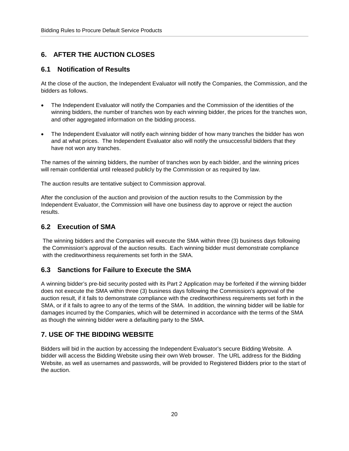# <span id="page-22-0"></span>**6. AFTER THE AUCTION CLOSES**

#### <span id="page-22-1"></span>**6.1 Notification of Results**

At the close of the auction, the Independent Evaluator will notify the Companies, the Commission, and the bidders as follows.

- The Independent Evaluator will notify the Companies and the Commission of the identities of the winning bidders, the number of tranches won by each winning bidder, the prices for the tranches won, and other aggregated information on the bidding process.
- The Independent Evaluator will notify each winning bidder of how many tranches the bidder has won and at what prices. The Independent Evaluator also will notify the unsuccessful bidders that they have not won any tranches.

The names of the winning bidders, the number of tranches won by each bidder, and the winning prices will remain confidential until released publicly by the Commission or as required by law.

The auction results are tentative subject to Commission approval.

After the conclusion of the auction and provision of the auction results to the Commission by the Independent Evaluator, the Commission will have one business day to approve or reject the auction results.

#### <span id="page-22-2"></span>**6.2 Execution of SMA**

The winning bidders and the Companies will execute the SMA within three (3) business days following the Commission's approval of the auction results. Each winning bidder must demonstrate compliance with the creditworthiness requirements set forth in the SMA.

## <span id="page-22-3"></span>**6.3 Sanctions for Failure to Execute the SMA**

A winning bidder's pre-bid security posted with its Part 2 Application may be forfeited if the winning bidder does not execute the SMA within three (3) business days following the Commission's approval of the auction result, if it fails to demonstrate compliance with the creditworthiness requirements set forth in the SMA, or if it fails to agree to any of the terms of the SMA. In addition, the winning bidder will be liable for damages incurred by the Companies, which will be determined in accordance with the terms of the SMA as though the winning bidder were a defaulting party to the SMA.

# <span id="page-22-4"></span>**7. USE OF THE BIDDING WEBSITE**

Bidders will bid in the auction by accessing the Independent Evaluator's secure Bidding Website. A bidder will access the Bidding Website using their own Web browser. The URL address for the Bidding Website, as well as usernames and passwords, will be provided to Registered Bidders prior to the start of the auction.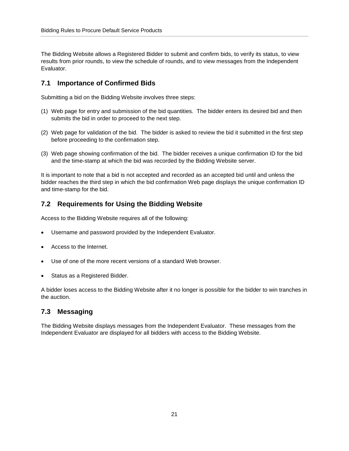The Bidding Website allows a Registered Bidder to submit and confirm bids, to verify its status, to view results from prior rounds, to view the schedule of rounds, and to view messages from the Independent Evaluator.

#### <span id="page-23-0"></span>**7.1 Importance of Confirmed Bids**

Submitting a bid on the Bidding Website involves three steps:

- (1) Web page for entry and submission of the bid quantities. The bidder enters its desired bid and then submits the bid in order to proceed to the next step.
- (2) Web page for validation of the bid. The bidder is asked to review the bid it submitted in the first step before proceeding to the confirmation step.
- (3) Web page showing confirmation of the bid. The bidder receives a unique confirmation ID for the bid and the time-stamp at which the bid was recorded by the Bidding Website server.

It is important to note that a bid is not accepted and recorded as an accepted bid until and unless the bidder reaches the third step in which the bid confirmation Web page displays the unique confirmation ID and time-stamp for the bid.

#### <span id="page-23-1"></span>**7.2 Requirements for Using the Bidding Website**

Access to the Bidding Website requires all of the following:

- Username and password provided by the Independent Evaluator.
- Access to the Internet.
- Use of one of the more recent versions of a standard Web browser.
- Status as a Registered Bidder.

A bidder loses access to the Bidding Website after it no longer is possible for the bidder to win tranches in the auction.

#### <span id="page-23-2"></span>**7.3 Messaging**

The Bidding Website displays messages from the Independent Evaluator. These messages from the Independent Evaluator are displayed for all bidders with access to the Bidding Website.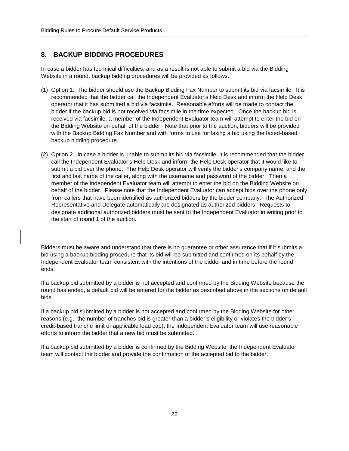# <span id="page-24-0"></span>**8. BACKUP BIDDING PROCEDURES**

In case a bidder has technical difficulties, and as a result is not able to submit a bid via the Bidding Website in a round, backup bidding procedures will be provided as follows.

- (1) Option 1. The bidder should use the Backup Bidding Fax Number to submit its bid via facsimile. It is recommended that the bidder call the Independent Evaluator's Help Desk and inform the Help Desk operator that it has submitted a bid via facsimile. Reasonable efforts will be made to contact the bidder if the backup bid is not received via facsimile in the time expected. Once the backup bid is received via facsimile, a member of the Independent Evaluator team will attempt to enter the bid on the Bidding Website on behalf of the bidder. Note that prior to the auction, bidders will be provided with the Backup Bidding Fax Number and with forms to use for faxing a bid using the faxed-based backup bidding procedure.
- (2) Option 2. In case a bidder is unable to submit its bid via facsimile, it is recommended that the bidder call the Independent Evaluator's Help Desk and inform the Help Desk operator that it would like to submit a bid over the phone. The Help Desk operator will verify the bidder's company name, and the first and last name of the caller, along with the username and password of the bidder. Then a member of the Independent Evaluator team will attempt to enter the bid on the Bidding Website on behalf of the bidder. Please note that the Independent Evaluator can accept bids over the phone only from callers that have been identified as authorized bidders by the bidder company. The Authorized Representative and Delegate automatically are designated as authorized bidders. Requests to designate additional authorized bidders must be sent to the Independent Evaluator in writing prior to the start of round 1 of the auction.

Bidders must be aware and understand that there is no guarantee or other assurance that if it submits a bid using a backup bidding procedure that its bid will be submitted and confirmed on its behalf by the Independent Evaluator team consistent with the intentions of the bidder and in time before the round ends.

If a backup bid submitted by a bidder is not accepted and confirmed by the Bidding Website because the round has ended, a default bid will be entered for the bidder as described above in the sections on default bids.

If a backup bid submitted by a bidder is not accepted and confirmed by the Bidding Website for other reasons (e.g., the number of tranches bid is greater than a bidder's eligibility or violates the bidder's credit-based tranche limit or applicable load cap), the Independent Evaluator team will use reasonable efforts to inform the bidder that a new bid must be submitted.

If a backup bid submitted by a bidder is confirmed by the Bidding Website, the Independent Evaluator team will contact the bidder and provide the confirmation of the accepted bid to the bidder.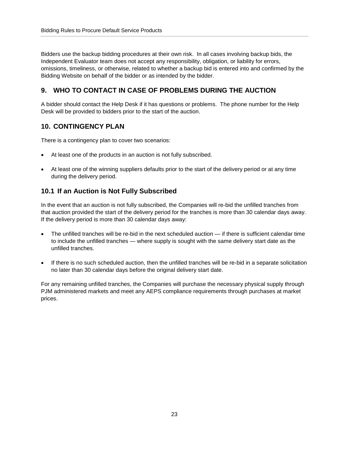Bidders use the backup bidding procedures at their own risk. In all cases involving backup bids, the Independent Evaluator team does not accept any responsibility, obligation, or liability for errors, omissions, timeliness, or otherwise, related to whether a backup bid is entered into and confirmed by the Bidding Website on behalf of the bidder or as intended by the bidder.

# <span id="page-25-0"></span>**9. WHO TO CONTACT IN CASE OF PROBLEMS DURING THE AUCTION**

A bidder should contact the Help Desk if it has questions or problems. The phone number for the Help Desk will be provided to bidders prior to the start of the auction.

## <span id="page-25-1"></span>**10. CONTINGENCY PLAN**

There is a contingency plan to cover two scenarios:

- At least one of the products in an auction is not fully subscribed.
- At least one of the winning suppliers defaults prior to the start of the delivery period or at any time during the delivery period.

#### <span id="page-25-2"></span>**10.1 If an Auction is Not Fully Subscribed**

In the event that an auction is not fully subscribed, the Companies will re-bid the unfilled tranches from that auction provided the start of the delivery period for the tranches is more than 30 calendar days away. If the delivery period is more than 30 calendar days away:

- The unfilled tranches will be re-bid in the next scheduled auction if there is sufficient calendar time to include the unfilled tranches — where supply is sought with the same delivery start date as the unfilled tranches.
- If there is no such scheduled auction, then the unfilled tranches will be re-bid in a separate solicitation no later than 30 calendar days before the original delivery start date.

For any remaining unfilled tranches, the Companies will purchase the necessary physical supply through PJM administered markets and meet any AEPS compliance requirements through purchases at market prices.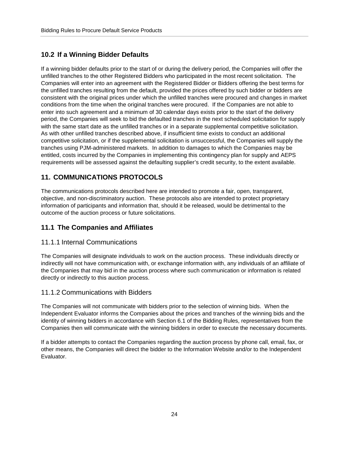# <span id="page-26-0"></span>**10.2 If a Winning Bidder Defaults**

If a winning bidder defaults prior to the start of or during the delivery period, the Companies will offer the unfilled tranches to the other Registered Bidders who participated in the most recent solicitation. The Companies will enter into an agreement with the Registered Bidder or Bidders offering the best terms for the unfilled tranches resulting from the default, provided the prices offered by such bidder or bidders are consistent with the original prices under which the unfilled tranches were procured and changes in market conditions from the time when the original tranches were procured. If the Companies are not able to enter into such agreement and a minimum of 30 calendar days exists prior to the start of the delivery period, the Companies will seek to bid the defaulted tranches in the next scheduled solicitation for supply with the same start date as the unfilled tranches or in a separate supplemental competitive solicitation. As with other unfilled tranches described above, if insufficient time exists to conduct an additional competitive solicitation, or if the supplemental solicitation is unsuccessful, the Companies will supply the tranches using PJM-administered markets. In addition to damages to which the Companies may be entitled, costs incurred by the Companies in implementing this contingency plan for supply and AEPS requirements will be assessed against the defaulting supplier's credit security, to the extent available.

# <span id="page-26-1"></span>**11. COMMUNICATIONS PROTOCOLS**

The communications protocols described here are intended to promote a fair, open, transparent, objective, and non-discriminatory auction. These protocols also are intended to protect proprietary information of participants and information that, should it be released, would be detrimental to the outcome of the auction process or future solicitations.

## <span id="page-26-2"></span>**11.1 The Companies and Affiliates**

#### <span id="page-26-3"></span>11.1.1 Internal Communications

The Companies will designate individuals to work on the auction process. These individuals directly or indirectly will not have communication with, or exchange information with, any individuals of an affiliate of the Companies that may bid in the auction process where such communication or information is related directly or indirectly to this auction process.

## <span id="page-26-4"></span>11.1.2 Communications with Bidders

The Companies will not communicate with bidders prior to the selection of winning bids. When the Independent Evaluator informs the Companies about the prices and tranches of the winning bids and the identity of winning bidders in accordance with Section 6.1 of the Bidding Rules, representatives from the Companies then will communicate with the winning bidders in order to execute the necessary documents.

If a bidder attempts to contact the Companies regarding the auction process by phone call, email, fax, or other means, the Companies will direct the bidder to the Information Website and/or to the Independent Evaluator.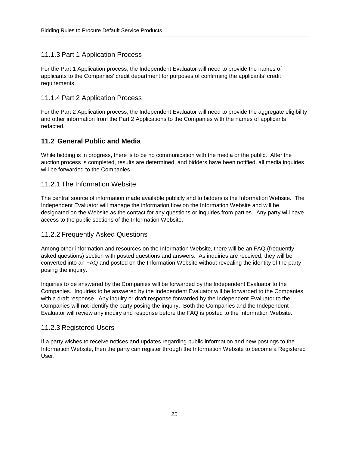#### <span id="page-27-0"></span>11.1.3 Part 1 Application Process

For the Part 1 Application process, the Independent Evaluator will need to provide the names of applicants to the Companies' credit department for purposes of confirming the applicants' credit requirements.

#### <span id="page-27-1"></span>11.1.4 Part 2 Application Process

For the Part 2 Application process, the Independent Evaluator will need to provide the aggregate eligibility and other information from the Part 2 Applications to the Companies with the names of applicants redacted.

## <span id="page-27-2"></span>**11.2 General Public and Media**

While bidding is in progress, there is to be no communication with the media or the public. After the auction process is completed, results are determined, and bidders have been notified, all media inquiries will be forwarded to the Companies.

#### <span id="page-27-3"></span>11.2.1 The Information Website

The central source of information made available publicly and to bidders is the Information Website. The Independent Evaluator will manage the information flow on the Information Website and will be designated on the Website as the contact for any questions or inquiries from parties. Any party will have access to the public sections of the Information Website.

#### <span id="page-27-4"></span>11.2.2 Frequently Asked Questions

Among other information and resources on the Information Website, there will be an FAQ (frequently asked questions) section with posted questions and answers. As inquiries are received, they will be converted into an FAQ and posted on the Information Website without revealing the identity of the party posing the inquiry.

Inquiries to be answered by the Companies will be forwarded by the Independent Evaluator to the Companies. Inquiries to be answered by the Independent Evaluator will be forwarded to the Companies with a draft response. Any inquiry or draft response forwarded by the Independent Evaluator to the Companies will not identify the party posing the inquiry. Both the Companies and the Independent Evaluator will review any inquiry and response before the FAQ is posted to the Information Website.

#### <span id="page-27-5"></span>11.2.3 Registered Users

If a party wishes to receive notices and updates regarding public information and new postings to the Information Website, then the party can register through the Information Website to become a Registered User.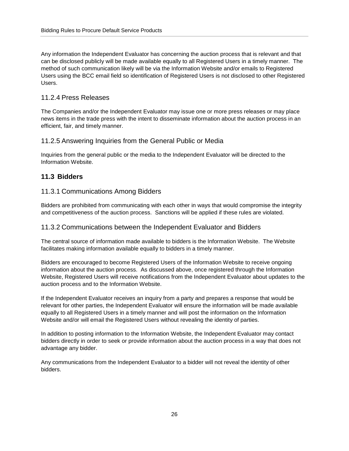Any information the Independent Evaluator has concerning the auction process that is relevant and that can be disclosed publicly will be made available equally to all Registered Users in a timely manner. The method of such communication likely will be via the Information Website and/or emails to Registered Users using the BCC email field so identification of Registered Users is not disclosed to other Registered Users.

#### <span id="page-28-0"></span>11.2.4 Press Releases

The Companies and/or the Independent Evaluator may issue one or more press releases or may place news items in the trade press with the intent to disseminate information about the auction process in an efficient, fair, and timely manner.

#### <span id="page-28-1"></span>11.2.5 Answering Inquiries from the General Public or Media

Inquiries from the general public or the media to the Independent Evaluator will be directed to the Information Website.

#### <span id="page-28-2"></span>**11.3 Bidders**

#### <span id="page-28-3"></span>11.3.1 Communications Among Bidders

Bidders are prohibited from communicating with each other in ways that would compromise the integrity and competitiveness of the auction process. Sanctions will be applied if these rules are violated.

#### <span id="page-28-4"></span>11.3.2 Communications between the Independent Evaluator and Bidders

The central source of information made available to bidders is the Information Website. The Website facilitates making information available equally to bidders in a timely manner.

Bidders are encouraged to become Registered Users of the Information Website to receive ongoing information about the auction process. As discussed above, once registered through the Information Website, Registered Users will receive notifications from the Independent Evaluator about updates to the auction process and to the Information Website.

If the Independent Evaluator receives an inquiry from a party and prepares a response that would be relevant for other parties, the Independent Evaluator will ensure the information will be made available equally to all Registered Users in a timely manner and will post the information on the Information Website and/or will email the Registered Users without revealing the identity of parties.

In addition to posting information to the Information Website, the Independent Evaluator may contact bidders directly in order to seek or provide information about the auction process in a way that does not advantage any bidder.

Any communications from the Independent Evaluator to a bidder will not reveal the identity of other bidders.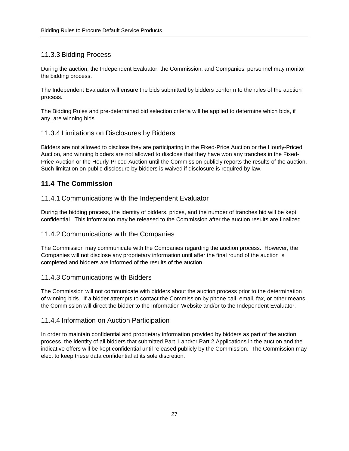## <span id="page-29-0"></span>11.3.3 Bidding Process

During the auction, the Independent Evaluator, the Commission, and Companies' personnel may monitor the bidding process.

The Independent Evaluator will ensure the bids submitted by bidders conform to the rules of the auction process.

The Bidding Rules and pre-determined bid selection criteria will be applied to determine which bids, if any, are winning bids.

#### <span id="page-29-1"></span>11.3.4 Limitations on Disclosures by Bidders

Bidders are not allowed to disclose they are participating in the Fixed-Price Auction or the Hourly-Priced Auction, and winning bidders are not allowed to disclose that they have won any tranches in the Fixed-Price Auction or the Hourly-Priced Auction until the Commission publicly reports the results of the auction. Such limitation on public disclosure by bidders is waived if disclosure is required by law.

# <span id="page-29-2"></span>**11.4 The Commission**

#### <span id="page-29-3"></span>11.4.1 Communications with the Independent Evaluator

During the bidding process, the identity of bidders, prices, and the number of tranches bid will be kept confidential. This information may be released to the Commission after the auction results are finalized.

#### <span id="page-29-4"></span>11.4.2 Communications with the Companies

The Commission may communicate with the Companies regarding the auction process. However, the Companies will not disclose any proprietary information until after the final round of the auction is completed and bidders are informed of the results of the auction.

#### <span id="page-29-5"></span>11.4.3 Communications with Bidders

The Commission will not communicate with bidders about the auction process prior to the determination of winning bids. If a bidder attempts to contact the Commission by phone call, email, fax, or other means, the Commission will direct the bidder to the Information Website and/or to the Independent Evaluator.

#### <span id="page-29-6"></span>11.4.4 Information on Auction Participation

In order to maintain confidential and proprietary information provided by bidders as part of the auction process, the identity of all bidders that submitted Part 1 and/or Part 2 Applications in the auction and the indicative offers will be kept confidential until released publicly by the Commission. The Commission may elect to keep these data confidential at its sole discretion.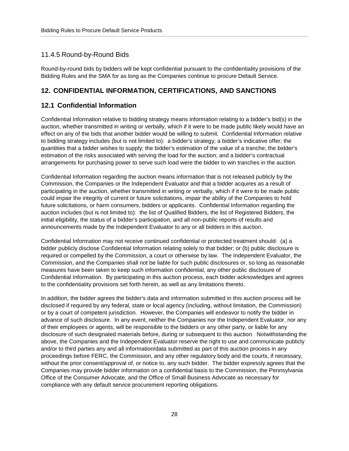#### <span id="page-30-0"></span>11.4.5 Round-by-Round Bids

Round-by-round bids by bidders will be kept confidential pursuant to the confidentiality provisions of the Bidding Rules and the SMA for as long as the Companies continue to procure Default Service.

#### <span id="page-30-1"></span>**12. CONFIDENTIAL INFORMATION, CERTIFICATIONS, AND SANCTIONS**

#### <span id="page-30-2"></span>**12.1 Confidential Information**

Confidential Information relative to bidding strategy means information relating to a bidder's bid(s) in the auction, whether transmitted in writing or verbally, which if it were to be made public likely would have an effect on any of the bids that another bidder would be willing to submit. Confidential Information relative to bidding strategy includes (but is not limited to): a bidder's strategy; a bidder's indicative offer; the quantities that a bidder wishes to supply; the bidder's estimation of the value of a tranche; the bidder's estimation of the risks associated with serving the load for the auction; and a bidder's contractual arrangements for purchasing power to serve such load were the bidder to win tranches in the auction.

Confidential Information regarding the auction means information that is not released publicly by the Commission, the Companies or the Independent Evaluator and that a bidder acquires as a result of participating in the auction, whether transmitted in writing or verbally, which if it were to be made public could impair the integrity of current or future solicitations, impair the ability of the Companies to hold future solicitations, or harm consumers, bidders or applicants. Confidential Information regarding the auction includes (but is not limited to): the list of Qualified Bidders, the list of Registered Bidders, the initial eligibility, the status of a bidder's participation, and all non-public reports of results and announcements made by the Independent Evaluator to any or all bidders in this auction.

Confidential Information may not receive continued confidential or protected treatment should: (a) a bidder publicly disclose Confidential Information relating solely to that bidder; or (b) public disclosure is required or compelled by the Commission, a court or otherwise by law. The Independent Evaluator, the Commission, and the Companies shall not be liable for such public disclosures or, so long as reasonable measures have been taken to keep such information confidential, any other public disclosure of Confidential Information. By participating in this auction process, each bidder acknowledges and agrees to the confidentiality provisions set forth herein, as well as any limitations thereto.

In addition, the bidder agrees the bidder's data and information submitted in this auction process will be disclosed if required by any federal, state or local agency (including, without limitation, the Commission) or by a court of competent jurisdiction. However, the Companies will endeavor to notify the bidder in advance of such disclosure. In any event, neither the Companies nor the Independent Evaluator, nor any of their employees or agents, will be responsible to the bidders or any other party, or liable for any disclosure of such designated materials before, during or subsequent to this auction. Notwithstanding the above, the Companies and the Independent Evaluator reserve the right to use and communicate publicly and/or to third parties any and all information/data submitted as part of this auction process in any proceedings before FERC, the Commission, and any other regulatory body and the courts, if necessary, without the prior consent/approval of, or notice to, any such bidder. The bidder expressly agrees that the Companies may provide bidder information on a confidential basis to the Commission, the Pennsylvania Office of the Consumer Advocate, and the Office of Small Business Advocate as necessary for compliance with any default service procurement reporting obligations.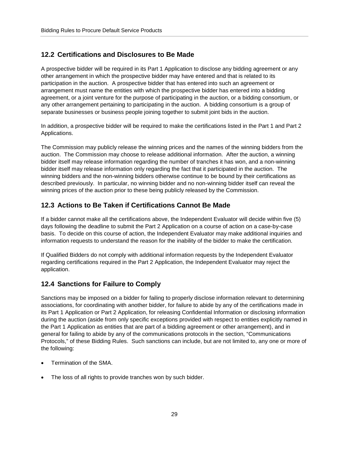#### <span id="page-31-0"></span>**12.2 Certifications and Disclosures to Be Made**

A prospective bidder will be required in its Part 1 Application to disclose any bidding agreement or any other arrangement in which the prospective bidder may have entered and that is related to its participation in the auction. A prospective bidder that has entered into such an agreement or arrangement must name the entities with which the prospective bidder has entered into a bidding agreement, or a joint venture for the purpose of participating in the auction, or a bidding consortium, or any other arrangement pertaining to participating in the auction. A bidding consortium is a group of separate businesses or business people joining together to submit joint bids in the auction.

In addition, a prospective bidder will be required to make the certifications listed in the Part 1 and Part 2 Applications.

The Commission may publicly release the winning prices and the names of the winning bidders from the auction. The Commission may choose to release additional information. After the auction, a winning bidder itself may release information regarding the number of tranches it has won, and a non-winning bidder itself may release information only regarding the fact that it participated in the auction. The winning bidders and the non-winning bidders otherwise continue to be bound by their certifications as described previously. In particular, no winning bidder and no non-winning bidder itself can reveal the winning prices of the auction prior to these being publicly released by the Commission.

#### <span id="page-31-1"></span>**12.3 Actions to Be Taken if Certifications Cannot Be Made**

If a bidder cannot make all the certifications above, the Independent Evaluator will decide within five (5) days following the deadline to submit the Part 2 Application on a course of action on a case-by-case basis. To decide on this course of action, the Independent Evaluator may make additional inquiries and information requests to understand the reason for the inability of the bidder to make the certification.

If Qualified Bidders do not comply with additional information requests by the Independent Evaluator regarding certifications required in the Part 2 Application, the Independent Evaluator may reject the application.

#### <span id="page-31-2"></span>**12.4 Sanctions for Failure to Comply**

Sanctions may be imposed on a bidder for failing to properly disclose information relevant to determining associations, for coordinating with another bidder, for failure to abide by any of the certifications made in its Part 1 Application or Part 2 Application, for releasing Confidential Information or disclosing information during the auction (aside from only specific exceptions provided with respect to entities explicitly named in the Part 1 Application as entities that are part of a bidding agreement or other arrangement), and in general for failing to abide by any of the communications protocols in the section, "Communications Protocols," of these Bidding Rules. Such sanctions can include, but are not limited to, any one or more of the following:

- Termination of the SMA.
- The loss of all rights to provide tranches won by such bidder.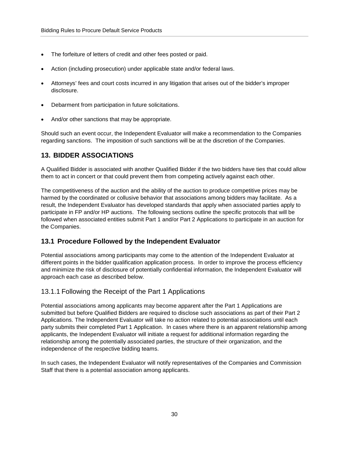- The forfeiture of letters of credit and other fees posted or paid.
- Action (including prosecution) under applicable state and/or federal laws.
- Attorneys' fees and court costs incurred in any litigation that arises out of the bidder's improper disclosure.
- Debarment from participation in future solicitations.
- And/or other sanctions that may be appropriate.

Should such an event occur, the Independent Evaluator will make a recommendation to the Companies regarding sanctions. The imposition of such sanctions will be at the discretion of the Companies.

## <span id="page-32-0"></span>**13. BIDDER ASSOCIATIONS**

A Qualified Bidder is associated with another Qualified Bidder if the two bidders have ties that could allow them to act in concert or that could prevent them from competing actively against each other.

The competitiveness of the auction and the ability of the auction to produce competitive prices may be harmed by the coordinated or collusive behavior that associations among bidders may facilitate. As a result, the Independent Evaluator has developed standards that apply when associated parties apply to participate in FP and/or HP auctions. The following sections outline the specific protocols that will be followed when associated entities submit Part 1 and/or Part 2 Applications to participate in an auction for the Companies.

#### <span id="page-32-1"></span>**13.1 Procedure Followed by the Independent Evaluator**

Potential associations among participants may come to the attention of the Independent Evaluator at different points in the bidder qualification application process. In order to improve the process efficiency and minimize the risk of disclosure of potentially confidential information, the Independent Evaluator will approach each case as described below.

#### <span id="page-32-2"></span>13.1.1 Following the Receipt of the Part 1 Applications

Potential associations among applicants may become apparent after the Part 1 Applications are submitted but before Qualified Bidders are required to disclose such associations as part of their Part 2 Applications. The Independent Evaluator will take no action related to potential associations until each party submits their completed Part 1 Application. In cases where there is an apparent relationship among applicants, the Independent Evaluator will initiate a request for additional information regarding the relationship among the potentially associated parties, the structure of their organization, and the independence of the respective bidding teams.

In such cases, the Independent Evaluator will notify representatives of the Companies and Commission Staff that there is a potential association among applicants.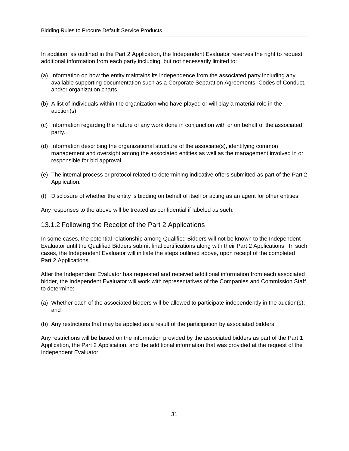In addition, as outlined in the Part 2 Application, the Independent Evaluator reserves the right to request additional information from each party including, but not necessarily limited to:

- (a) Information on how the entity maintains its independence from the associated party including any available supporting documentation such as a Corporate Separation Agreements, Codes of Conduct, and/or organization charts.
- (b) A list of individuals within the organization who have played or will play a material role in the auction(s).
- (c) Information regarding the nature of any work done in conjunction with or on behalf of the associated party.
- (d) Information describing the organizational structure of the associate(s), identifying common management and oversight among the associated entities as well as the management involved in or responsible for bid approval.
- (e) The internal process or protocol related to determining indicative offers submitted as part of the Part 2 Application.
- (f) Disclosure of whether the entity is bidding on behalf of itself or acting as an agent for other entities.

Any responses to the above will be treated as confidential if labeled as such.

#### <span id="page-33-0"></span>13.1.2 Following the Receipt of the Part 2 Applications

In some cases, the potential relationship among Qualified Bidders will not be known to the Independent Evaluator until the Qualified Bidders submit final certifications along with their Part 2 Applications. In such cases, the Independent Evaluator will initiate the steps outlined above, upon receipt of the completed Part 2 Applications.

After the Independent Evaluator has requested and received additional information from each associated bidder, the Independent Evaluator will work with representatives of the Companies and Commission Staff to determine:

- (a) Whether each of the associated bidders will be allowed to participate independently in the auction(s); and
- (b) Any restrictions that may be applied as a result of the participation by associated bidders.

Any restrictions will be based on the information provided by the associated bidders as part of the Part 1 Application, the Part 2 Application, and the additional information that was provided at the request of the Independent Evaluator.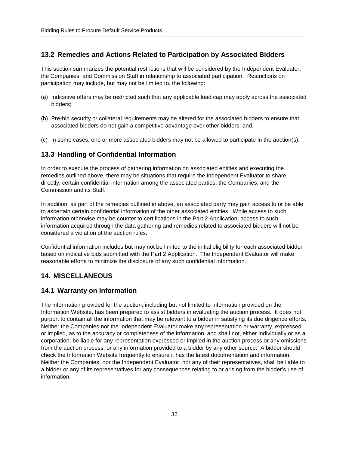#### <span id="page-34-0"></span>**13.2 Remedies and Actions Related to Participation by Associated Bidders**

This section summarizes the potential restrictions that will be considered by the Independent Evaluator, the Companies, and Commission Staff in relationship to associated participation. Restrictions on participation may include, but may not be limited to, the following:

- (a) Indicative offers may be restricted such that any applicable load cap may apply across the associated bidders;
- (b) Pre-bid security or collateral requirements may be altered for the associated bidders to ensure that associated bidders do not gain a competitive advantage over other bidders; and,
- (c) In some cases, one or more associated bidders may not be allowed to participate in the auction(s).

#### <span id="page-34-1"></span>**13.3 Handling of Confidential Information**

In order to execute the process of gathering information on associated entities and executing the remedies outlined above, there may be situations that require the Independent Evaluator to share, directly, certain confidential information among the associated parties, the Companies, and the Commission and its Staff.

In addition, as part of the remedies outlined in above, an associated party may gain access to or be able to ascertain certain confidential information of the other associated entities. While access to such information otherwise may be counter to certifications in the Part 2 Application, access to such information acquired through the data gathering and remedies related to associated bidders will not be considered a violation of the auction rules.

Confidential information includes but may not be limited to the initial eligibility for each associated bidder based on indicative bids submitted with the Part 2 Application. The Independent Evaluator will make reasonable efforts to minimize the disclosure of any such confidential information.

#### <span id="page-34-2"></span>**14. MISCELLANEOUS**

#### <span id="page-34-3"></span>**14.1 Warranty on Information**

The information provided for the auction, including but not limited to information provided on the Information Website, has been prepared to assist bidders in evaluating the auction process. It does not purport to contain all the information that may be relevant to a bidder in satisfying its due diligence efforts. Neither the Companies nor the Independent Evaluator make any representation or warranty, expressed or implied, as to the accuracy or completeness of the information, and shall not, either individually or as a corporation, be liable for any representation expressed or implied in the auction process or any omissions from the auction process, or any information provided to a bidder by any other source. A bidder should check the Information Website frequently to ensure it has the latest documentation and information. Neither the Companies, nor the Independent Evaluator, nor any of their representatives, shall be liable to a bidder or any of its representatives for any consequences relating to or arising from the bidder's use of information.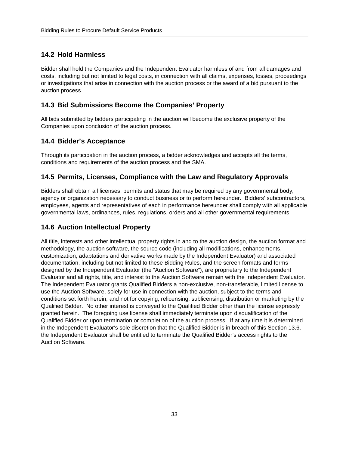# <span id="page-35-0"></span>**14.2 Hold Harmless**

Bidder shall hold the Companies and the Independent Evaluator harmless of and from all damages and costs, including but not limited to legal costs, in connection with all claims, expenses, losses, proceedings or investigations that arise in connection with the auction process or the award of a bid pursuant to the auction process.

## <span id="page-35-1"></span>**14.3 Bid Submissions Become the Companies' Property**

All bids submitted by bidders participating in the auction will become the exclusive property of the Companies upon conclusion of the auction process.

## <span id="page-35-2"></span>**14.4 Bidder's Acceptance**

Through its participation in the auction process, a bidder acknowledges and accepts all the terms, conditions and requirements of the auction process and the SMA.

## <span id="page-35-3"></span>**14.5 Permits, Licenses, Compliance with the Law and Regulatory Approvals**

Bidders shall obtain all licenses, permits and status that may be required by any governmental body, agency or organization necessary to conduct business or to perform hereunder. Bidders' subcontractors, employees, agents and representatives of each in performance hereunder shall comply with all applicable governmental laws, ordinances, rules, regulations, orders and all other governmental requirements.

### <span id="page-35-4"></span>**14.6 Auction Intellectual Property**

All title, interests and other intellectual property rights in and to the auction design, the auction format and methodology, the auction software, the source code (including all modifications, enhancements, customization, adaptations and derivative works made by the Independent Evaluator) and associated documentation, including but not limited to these Bidding Rules, and the screen formats and forms designed by the Independent Evaluator (the "Auction Software"), are proprietary to the Independent Evaluator and all rights, title, and interest to the Auction Software remain with the Independent Evaluator. The Independent Evaluator grants Qualified Bidders a non-exclusive, non-transferable, limited license to use the Auction Software, solely for use in connection with the auction, subject to the terms and conditions set forth herein, and not for copying, relicensing, sublicensing, distribution or marketing by the Qualified Bidder. No other interest is conveyed to the Qualified Bidder other than the license expressly granted herein. The foregoing use license shall immediately terminate upon disqualification of the Qualified Bidder or upon termination or completion of the auction process. If at any time it is determined in the Independent Evaluator's sole discretion that the Qualified Bidder is in breach of this Section 13.6, the Independent Evaluator shall be entitled to terminate the Qualified Bidder's access rights to the Auction Software.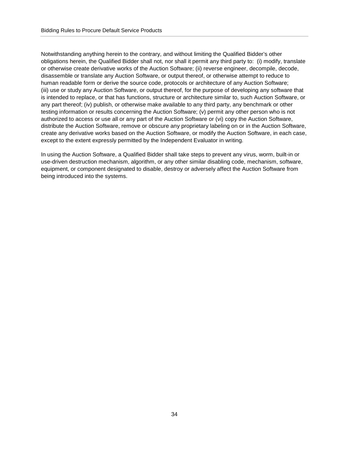Notwithstanding anything herein to the contrary, and without limiting the Qualified Bidder's other obligations herein, the Qualified Bidder shall not, nor shall it permit any third party to: (i) modify, translate or otherwise create derivative works of the Auction Software; (ii) reverse engineer, decompile, decode, disassemble or translate any Auction Software, or output thereof, or otherwise attempt to reduce to human readable form or derive the source code, protocols or architecture of any Auction Software; (iii) use or study any Auction Software, or output thereof, for the purpose of developing any software that is intended to replace, or that has functions, structure or architecture similar to, such Auction Software, or any part thereof; (iv) publish, or otherwise make available to any third party, any benchmark or other testing information or results concerning the Auction Software; (v) permit any other person who is not authorized to access or use all or any part of the Auction Software or (vi) copy the Auction Software, distribute the Auction Software, remove or obscure any proprietary labeling on or in the Auction Software, create any derivative works based on the Auction Software, or modify the Auction Software, in each case, except to the extent expressly permitted by the Independent Evaluator in writing.

In using the Auction Software, a Qualified Bidder shall take steps to prevent any virus, worm, built-in or use-driven destruction mechanism, algorithm, or any other similar disabling code, mechanism, software, equipment, or component designated to disable, destroy or adversely affect the Auction Software from being introduced into the systems.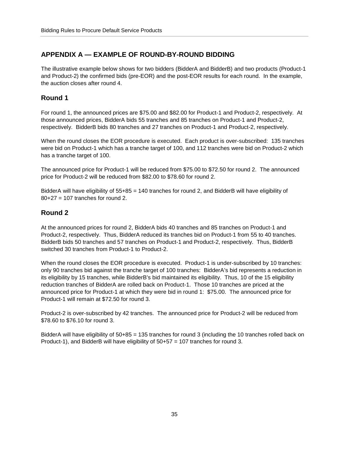# <span id="page-37-0"></span>**APPENDIX A — EXAMPLE OF ROUND-BY-ROUND BIDDING**

The illustrative example below shows for two bidders (BidderA and BidderB) and two products (Product-1 and Product-2) the confirmed bids (pre-EOR) and the post-EOR results for each round. In the example, the auction closes after round 4.

#### **Round 1**

For round 1, the announced prices are \$75.00 and \$82.00 for Product-1 and Product-2, respectively. At those announced prices, BidderA bids 55 tranches and 85 tranches on Product-1 and Product-2, respectively. BidderB bids 80 tranches and 27 tranches on Product-1 and Product-2, respectively.

When the round closes the EOR procedure is executed. Each product is over-subscribed: 135 tranches were bid on Product-1 which has a tranche target of 100, and 112 tranches were bid on Product-2 which has a tranche target of 100.

The announced price for Product-1 will be reduced from \$75.00 to \$72.50 for round 2. The announced price for Product-2 will be reduced from \$82.00 to \$78.60 for round 2.

BidderA will have eligibility of 55+85 = 140 tranches for round 2, and BidderB will have eligibility of  $80+27 = 107$  tranches for round 2.

#### **Round 2**

At the announced prices for round 2, BidderA bids 40 tranches and 85 tranches on Product-1 and Product-2, respectively. Thus, BidderA reduced its tranches bid on Product-1 from 55 to 40 tranches. BidderB bids 50 tranches and 57 tranches on Product-1 and Product-2, respectively. Thus, BidderB switched 30 tranches from Product-1 to Product-2.

When the round closes the EOR procedure is executed. Product-1 is under-subscribed by 10 tranches: only 90 tranches bid against the tranche target of 100 tranches: BidderA's bid represents a reduction in its eligibility by 15 tranches, while BidderB's bid maintained its eligibility. Thus, 10 of the 15 eligibility reduction tranches of BidderA are rolled back on Product-1. Those 10 tranches are priced at the announced price for Product-1 at which they were bid in round 1: \$75.00. The announced price for Product-1 will remain at \$72.50 for round 3.

Product-2 is over-subscribed by 42 tranches. The announced price for Product-2 will be reduced from \$78.60 to \$76.10 for round 3.

BidderA will have eligibility of 50+85 = 135 tranches for round 3 (including the 10 tranches rolled back on Product-1), and BidderB will have eligibility of 50+57 = 107 tranches for round 3.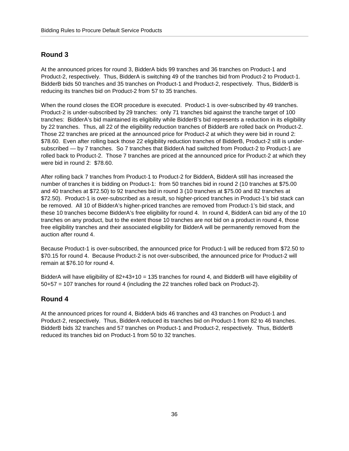### **Round 3**

At the announced prices for round 3, BidderA bids 99 tranches and 36 tranches on Product-1 and Product-2, respectively. Thus, BidderA is switching 49 of the tranches bid from Product-2 to Product-1. BidderB bids 50 tranches and 35 tranches on Product-1 and Product-2, respectively. Thus, BidderB is reducing its tranches bid on Product-2 from 57 to 35 tranches.

When the round closes the EOR procedure is executed. Product-1 is over-subscribed by 49 tranches. Product-2 is under-subscribed by 29 tranches: only 71 tranches bid against the tranche target of 100 tranches: BidderA's bid maintained its eligibility while BidderB's bid represents a reduction in its eligibility by 22 tranches. Thus, all 22 of the eligibility reduction tranches of BidderB are rolled back on Product-2. Those 22 tranches are priced at the announced price for Product-2 at which they were bid in round 2: \$78.60. Even after rolling back those 22 eligibility reduction tranches of BidderB, Product-2 still is undersubscribed — by 7 tranches. So 7 tranches that BidderA had switched from Product-2 to Product-1 are rolled back to Product-2. Those 7 tranches are priced at the announced price for Product-2 at which they were bid in round 2: \$78.60.

After rolling back 7 tranches from Product-1 to Product-2 for BidderA, BidderA still has increased the number of tranches it is bidding on Product-1: from 50 tranches bid in round 2 (10 tranches at \$75.00 and 40 tranches at \$72.50) to 92 tranches bid in round 3 (10 tranches at \$75.00 and 82 tranches at \$72.50). Product-1 is over-subscribed as a result, so higher-priced tranches in Product-1's bid stack can be removed. All 10 of BidderA's higher-priced tranches are removed from Product-1's bid stack, and these 10 tranches become BidderA's free eligibility for round 4. In round 4, BidderA can bid any of the 10 tranches on any product, but to the extent those 10 tranches are not bid on a product in round 4, those free eligibility tranches and their associated eligibility for BidderA will be permanently removed from the auction after round 4.

Because Product-1 is over-subscribed, the announced price for Product-1 will be reduced from \$72.50 to \$70.15 for round 4. Because Product-2 is not over-subscribed, the announced price for Product-2 will remain at \$76.10 for round 4.

BidderA will have eligibility of 82+43+10 = 135 tranches for round 4, and BidderB will have eligibility of 50+57 = 107 tranches for round 4 (including the 22 tranches rolled back on Product-2).

#### **Round 4**

At the announced prices for round 4, BidderA bids 46 tranches and 43 tranches on Product-1 and Product-2, respectively. Thus, BidderA reduced its tranches bid on Product-1 from 82 to 46 tranches. BidderB bids 32 tranches and 57 tranches on Product-1 and Product-2, respectively. Thus, BidderB reduced its tranches bid on Product-1 from 50 to 32 tranches.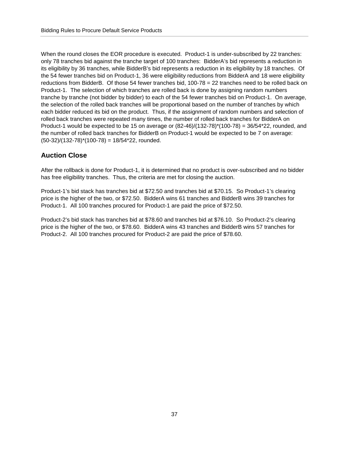When the round closes the EOR procedure is executed. Product-1 is under-subscribed by 22 tranches: only 78 tranches bid against the tranche target of 100 tranches: BidderA's bid represents a reduction in its eligibility by 36 tranches, while BidderB's bid represents a reduction in its eligibility by 18 tranches. Of the 54 fewer tranches bid on Product-1, 36 were eligibility reductions from BidderA and 18 were eligibility reductions from BidderB. Of those 54 fewer tranches bid, 100-78 = 22 tranches need to be rolled back on Product-1. The selection of which tranches are rolled back is done by assigning random numbers tranche by tranche (not bidder by bidder) to each of the 54 fewer tranches bid on Product-1. On average, the selection of the rolled back tranches will be proportional based on the number of tranches by which each bidder reduced its bid on the product. Thus, if the assignment of random numbers and selection of rolled back tranches were repeated many times, the number of rolled back tranches for BidderA on Product-1 would be expected to be 15 on average or (82-46)/(132-78)\*(100-78) = 36/54\*22, rounded, and the number of rolled back tranches for BidderB on Product-1 would be expected to be 7 on average:  $(50-32)/(132-78)*(100-78) = 18/54*22$ , rounded.

# **Auction Close**

After the rollback is done for Product-1, it is determined that no product is over-subscribed and no bidder has free eligibility tranches. Thus, the criteria are met for closing the auction.

Product-1's bid stack has tranches bid at \$72.50 and tranches bid at \$70.15. So Product-1's clearing price is the higher of the two, or \$72.50. BidderA wins 61 tranches and BidderB wins 39 tranches for Product-1. All 100 tranches procured for Product-1 are paid the price of \$72.50.

Product-2's bid stack has tranches bid at \$78.60 and tranches bid at \$76.10. So Product-2's clearing price is the higher of the two, or \$78.60. BidderA wins 43 tranches and BidderB wins 57 tranches for Product-2. All 100 tranches procured for Product-2 are paid the price of \$78.60.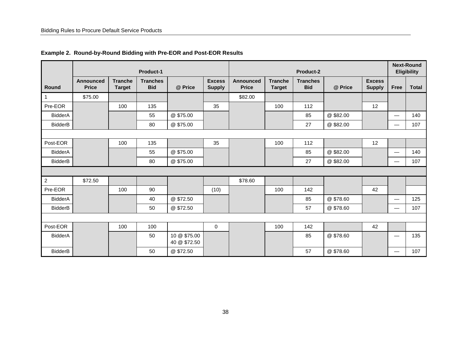|                |                                  |                                 | <b>Product-1</b>              |                              |                                |                           |                                 | Product-2                     |           |                                |                                  | <b>Next-Round</b><br><b>Eligibility</b> |
|----------------|----------------------------------|---------------------------------|-------------------------------|------------------------------|--------------------------------|---------------------------|---------------------------------|-------------------------------|-----------|--------------------------------|----------------------------------|-----------------------------------------|
| Round          | <b>Announced</b><br><b>Price</b> | <b>Tranche</b><br><b>Target</b> | <b>Tranches</b><br><b>Bid</b> | @ Price                      | <b>Excess</b><br><b>Supply</b> | Announced<br><b>Price</b> | <b>Tranche</b><br><b>Target</b> | <b>Tranches</b><br><b>Bid</b> | @ Price   | <b>Excess</b><br><b>Supply</b> | Free                             | <b>Total</b>                            |
| $\overline{1}$ | \$75.00                          |                                 |                               |                              |                                | \$82.00                   |                                 |                               |           |                                |                                  |                                         |
| Pre-EOR        |                                  | 100                             | 135                           |                              | 35                             |                           | 100                             | 112                           |           | 12                             |                                  |                                         |
| <b>BidderA</b> |                                  |                                 | 55                            | @ \$75.00                    |                                |                           |                                 | 85                            | @\$82.00  |                                | —                                | 140                                     |
| <b>BidderB</b> |                                  |                                 | 80                            | @ \$75.00                    |                                |                           |                                 | 27                            | @\$82.00  |                                | —                                | 107                                     |
|                |                                  |                                 |                               |                              |                                |                           |                                 |                               |           |                                |                                  |                                         |
| Post-EOR       |                                  | 100                             | 135                           |                              | 35                             |                           | 100                             | 112                           |           | 12                             |                                  |                                         |
| <b>BidderA</b> |                                  |                                 | 55                            | @ \$75.00                    |                                |                           |                                 | 85                            | @\$82.00  |                                |                                  | 140                                     |
| <b>BidderB</b> |                                  |                                 | 80                            | @ \$75.00                    |                                |                           |                                 | 27                            | @\$82.00  |                                | $\overbrace{\phantom{12322111}}$ | 107                                     |
|                |                                  |                                 |                               |                              |                                |                           |                                 |                               |           |                                |                                  |                                         |
| $\overline{2}$ | \$72.50                          |                                 |                               |                              |                                | \$78.60                   |                                 |                               |           |                                |                                  |                                         |
| Pre-EOR        |                                  | 100                             | 90                            |                              | (10)                           |                           | 100                             | 142                           |           | 42                             |                                  |                                         |
| <b>BidderA</b> |                                  |                                 | 40                            | @ \$72.50                    |                                |                           |                                 | 85                            | @ \$78.60 |                                | $\overbrace{\phantom{12322111}}$ | 125                                     |
| <b>BidderB</b> |                                  |                                 | 50                            | @ \$72.50                    |                                |                           |                                 | 57                            | @ \$78.60 |                                | $\overline{\phantom{0}}$         | 107                                     |
|                |                                  |                                 |                               |                              |                                |                           |                                 |                               |           |                                |                                  |                                         |
| Post-EOR       |                                  | 100                             | 100                           |                              | $\mathbf 0$                    |                           | 100                             | 142                           |           | 42                             |                                  |                                         |
| <b>BidderA</b> |                                  |                                 | 50                            | 10 @ \$75.00<br>40 @ \$72.50 |                                |                           |                                 | 85                            | @ \$78.60 |                                |                                  | 135                                     |
| BidderB        |                                  |                                 | 50                            | @ \$72.50                    |                                |                           |                                 | 57                            | @ \$78.60 |                                | —                                | 107                                     |

#### **Example 2. Round-by-Round Bidding with Pre-EOR and Post-EOR Results**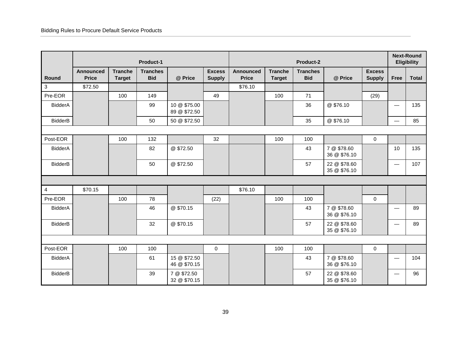|                |                           |                                 | Product-1                     |                              |                                |                                  |                                 | Product-2                     |                              |                                |             | <b>Next-Round</b><br><b>Eligibility</b> |
|----------------|---------------------------|---------------------------------|-------------------------------|------------------------------|--------------------------------|----------------------------------|---------------------------------|-------------------------------|------------------------------|--------------------------------|-------------|-----------------------------------------|
| Round          | Announced<br><b>Price</b> | <b>Tranche</b><br><b>Target</b> | <b>Tranches</b><br><b>Bid</b> | @ Price                      | <b>Excess</b><br><b>Supply</b> | <b>Announced</b><br><b>Price</b> | <b>Tranche</b><br><b>Target</b> | <b>Tranches</b><br><b>Bid</b> | @ Price                      | <b>Excess</b><br><b>Supply</b> | <b>Free</b> | <b>Total</b>                            |
| $\mathbf{3}$   | \$72.50                   |                                 |                               |                              |                                | \$76.10                          |                                 |                               |                              |                                |             |                                         |
| Pre-EOR        |                           | 100                             | 149                           |                              | 49                             |                                  | 100                             | 71                            |                              | (29)                           |             |                                         |
| <b>BidderA</b> |                           |                                 | 99                            | 10 @ \$75.00<br>89 @ \$72.50 |                                |                                  |                                 | 36                            | @ \$76.10                    |                                |             | 135                                     |
| <b>BidderB</b> |                           |                                 | 50                            | 50 @ \$72.50                 |                                |                                  |                                 | 35                            | @\$76.10                     |                                |             | 85                                      |
|                |                           |                                 |                               |                              |                                |                                  |                                 |                               |                              |                                |             |                                         |
| Post-EOR       |                           | 100                             | 132                           |                              | 32                             |                                  | 100                             | 100                           |                              | $\mathbf 0$                    |             |                                         |
| <b>BidderA</b> |                           |                                 | 82                            | @ \$72.50                    |                                |                                  |                                 | 43                            | 7 @ \$78.60<br>36 @ \$76.10  |                                | 10          | 135                                     |
| <b>BidderB</b> |                           |                                 | 50                            | @ \$72.50                    |                                |                                  |                                 | 57                            | 22 @ \$78.60<br>35 @ \$76.10 |                                |             | 107                                     |
|                |                           |                                 |                               |                              |                                |                                  |                                 |                               |                              |                                |             |                                         |
| $\overline{4}$ | \$70.15                   |                                 |                               |                              |                                | \$76.10                          |                                 |                               |                              |                                |             |                                         |
| Pre-EOR        |                           | 100                             | 78                            |                              | (22)                           |                                  | 100                             | 100                           |                              | $\mathbf 0$                    |             |                                         |
| <b>BidderA</b> |                           |                                 | 46                            | @ \$70.15                    |                                |                                  |                                 | 43                            | 7 @ \$78.60<br>36 @ \$76.10  |                                |             | 89                                      |
| <b>BidderB</b> |                           |                                 | 32                            | @\$70.15                     |                                |                                  |                                 | 57                            | 22 @ \$78.60<br>35 @ \$76.10 |                                |             | 89                                      |
|                |                           |                                 |                               |                              |                                |                                  |                                 |                               |                              |                                |             |                                         |
| Post-EOR       |                           | 100                             | 100                           |                              | 0                              |                                  | 100                             | 100                           |                              | $\mathbf 0$                    |             |                                         |
| <b>BidderA</b> |                           |                                 | 61                            | 15 @ \$72.50<br>46 @ \$70.15 |                                |                                  |                                 | 43                            | 7 @ \$78.60<br>36 @ \$76.10  |                                |             | 104                                     |
| <b>BidderB</b> |                           |                                 | 39                            | 7 @ \$72.50<br>32 @ \$70.15  |                                |                                  |                                 | 57                            | 22 @ \$78.60<br>35 @ \$76.10 |                                |             | 96                                      |